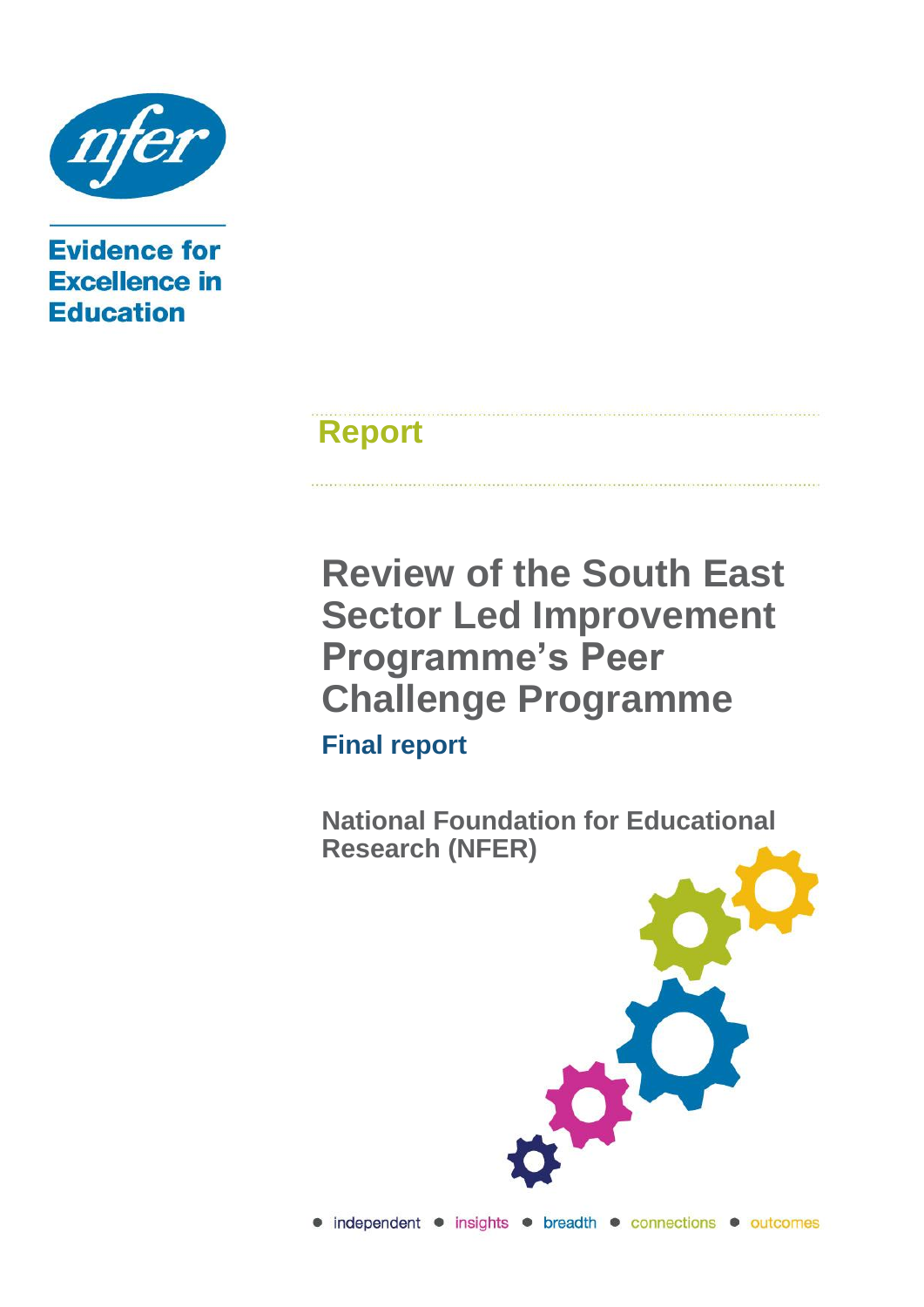

**Evidence for Excellence in Education** 

# **Report**

**Review of the South East Sector Led Improvement Programme's Peer Challenge Programme Final report**

**National Foundation for Educational Research (NFER)**

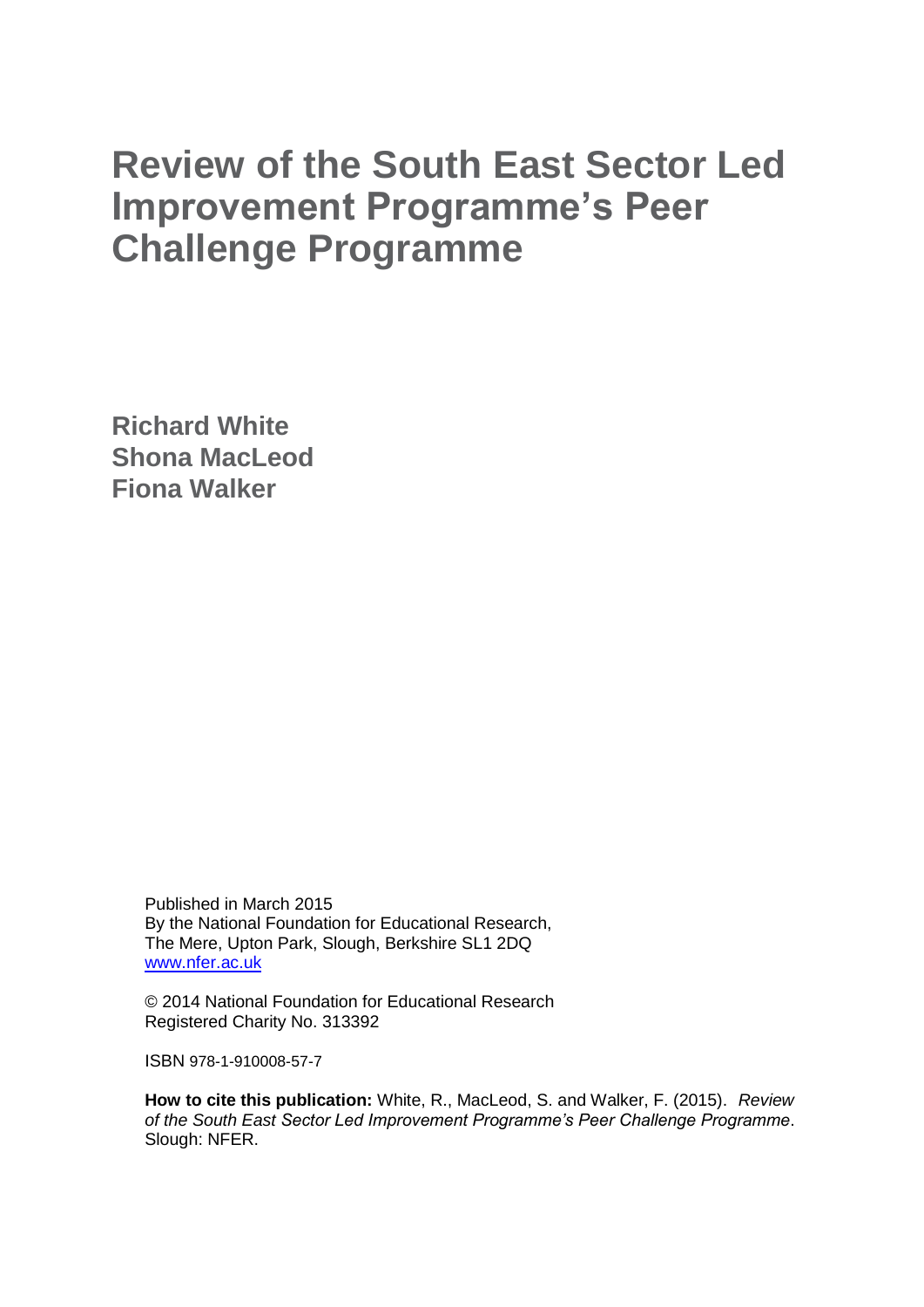# **Review of the South East Sector Led Improvement Programme's Peer Challenge Programme**

**Richard White Shona MacLeod Fiona Walker**

> Published in March 2015 By the National Foundation for Educational Research, The Mere, Upton Park, Slough, Berkshire SL1 2DQ [www.nfer.ac.uk](http://www.nfer.ac.uk/)

> © 2014 National Foundation for Educational Research Registered Charity No. 313392

ISBN 978-1-910008-57-7

**How to cite this publication:** White, R., MacLeod, S. and Walker, F. (2015). *Review of the South East Sector Led Improvement Programme's Peer Challenge Programme*. Slough: NFER.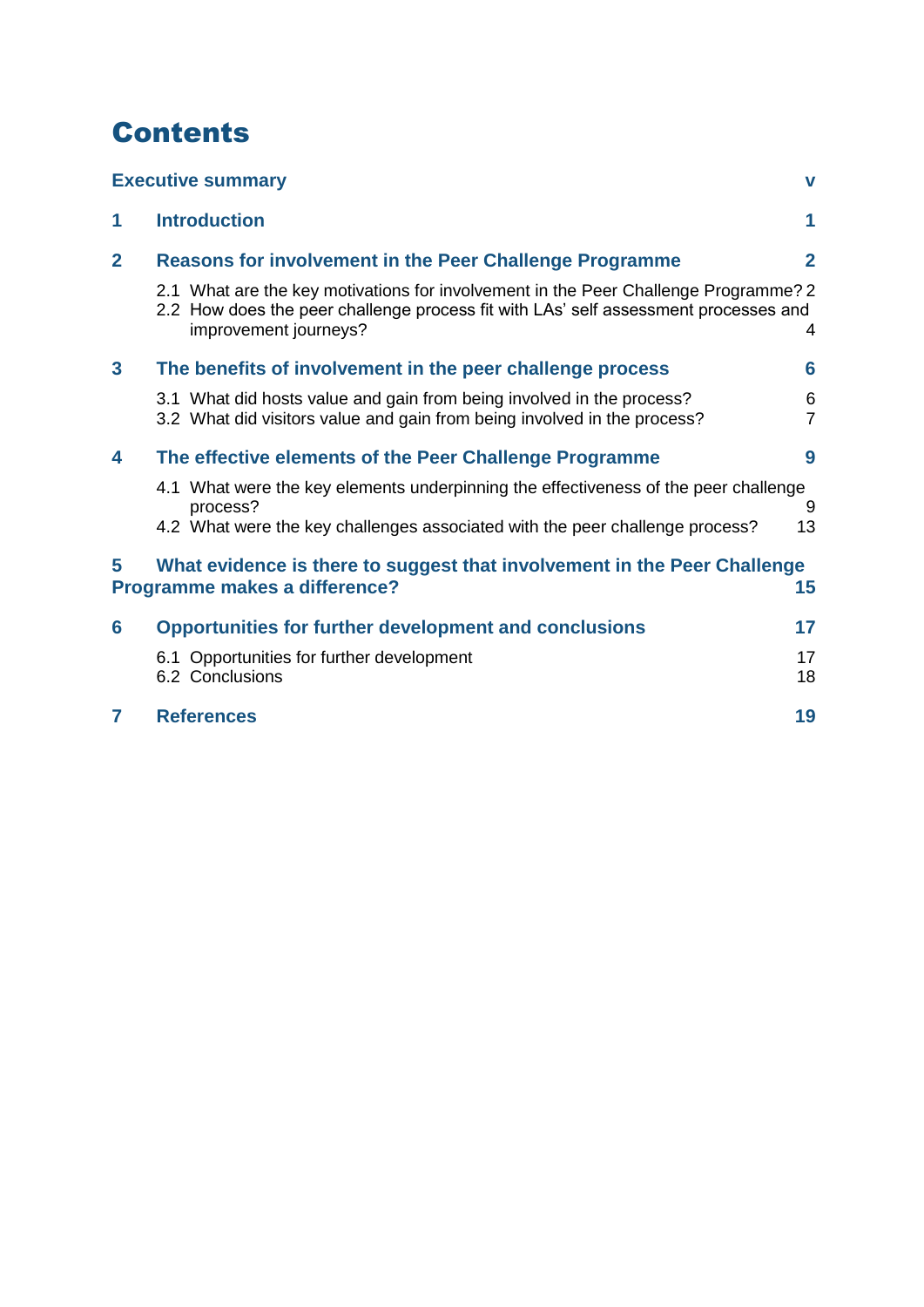## **Contents**

|                                                                                                                      | <b>Executive summary</b>                                                                                                                                                                            | V                   |
|----------------------------------------------------------------------------------------------------------------------|-----------------------------------------------------------------------------------------------------------------------------------------------------------------------------------------------------|---------------------|
| 1                                                                                                                    | <b>Introduction</b>                                                                                                                                                                                 | 1                   |
| $\overline{2}$                                                                                                       | <b>Reasons for involvement in the Peer Challenge Programme</b>                                                                                                                                      | $\mathbf{2}$        |
|                                                                                                                      | 2.1 What are the key motivations for involvement in the Peer Challenge Programme? 2<br>2.2 How does the peer challenge process fit with LAs' self assessment processes and<br>improvement journeys? | 4                   |
| $\overline{\mathbf{3}}$                                                                                              | The benefits of involvement in the peer challenge process                                                                                                                                           | 6                   |
|                                                                                                                      | 3.1 What did hosts value and gain from being involved in the process?<br>3.2 What did visitors value and gain from being involved in the process?                                                   | 6<br>$\overline{7}$ |
| 4                                                                                                                    | The effective elements of the Peer Challenge Programme                                                                                                                                              | 9                   |
|                                                                                                                      | 4.1 What were the key elements underpinning the effectiveness of the peer challenge<br>process?                                                                                                     | 9                   |
|                                                                                                                      | 4.2 What were the key challenges associated with the peer challenge process?                                                                                                                        | 13                  |
| 5<br>What evidence is there to suggest that involvement in the Peer Challenge<br>Programme makes a difference?<br>15 |                                                                                                                                                                                                     |                     |
| 6                                                                                                                    | <b>Opportunities for further development and conclusions</b>                                                                                                                                        | 17                  |
|                                                                                                                      | 6.1 Opportunities for further development<br>6.2 Conclusions                                                                                                                                        | 17<br>18            |
| 7                                                                                                                    | <b>References</b>                                                                                                                                                                                   | 19                  |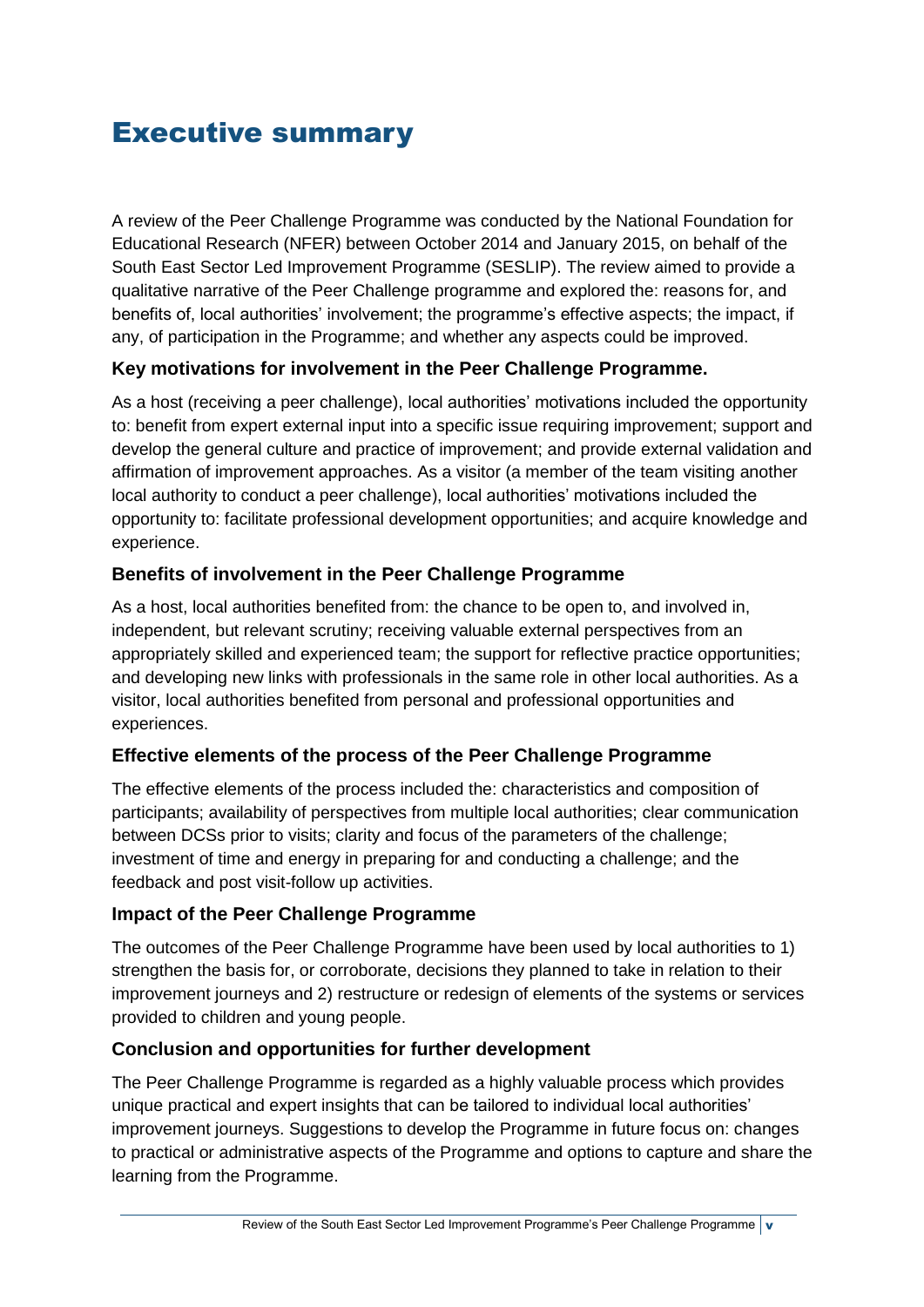## <span id="page-4-0"></span>Executive summary

A review of the Peer Challenge Programme was conducted by the National Foundation for Educational Research (NFER) between October 2014 and January 2015, on behalf of the South East Sector Led Improvement Programme (SESLIP). The review aimed to provide a qualitative narrative of the Peer Challenge programme and explored the: reasons for, and benefits of, local authorities' involvement; the programme's effective aspects; the impact, if any, of participation in the Programme; and whether any aspects could be improved.

## **Key motivations for involvement in the Peer Challenge Programme.**

As a host (receiving a peer challenge), local authorities' motivations included the opportunity to: benefit from expert external input into a specific issue requiring improvement; support and develop the general culture and practice of improvement; and provide external validation and affirmation of improvement approaches. As a visitor (a member of the team visiting another local authority to conduct a peer challenge), local authorities' motivations included the opportunity to: facilitate professional development opportunities; and acquire knowledge and experience.

## **Benefits of involvement in the Peer Challenge Programme**

As a host, local authorities benefited from: the chance to be open to, and involved in, independent, but relevant scrutiny; receiving valuable external perspectives from an appropriately skilled and experienced team; the support for reflective practice opportunities; and developing new links with professionals in the same role in other local authorities. As a visitor, local authorities benefited from personal and professional opportunities and experiences.

## **Effective elements of the process of the Peer Challenge Programme**

The effective elements of the process included the: characteristics and composition of participants; availability of perspectives from multiple local authorities; clear communication between DCSs prior to visits; clarity and focus of the parameters of the challenge; investment of time and energy in preparing for and conducting a challenge; and the feedback and post visit-follow up activities.

## **Impact of the Peer Challenge Programme**

The outcomes of the Peer Challenge Programme have been used by local authorities to 1) strengthen the basis for, or corroborate, decisions they planned to take in relation to their improvement journeys and 2) restructure or redesign of elements of the systems or services provided to children and young people.

## **Conclusion and opportunities for further development**

The Peer Challenge Programme is regarded as a highly valuable process which provides unique practical and expert insights that can be tailored to individual local authorities' improvement journeys. Suggestions to develop the Programme in future focus on: changes to practical or administrative aspects of the Programme and options to capture and share the learning from the Programme.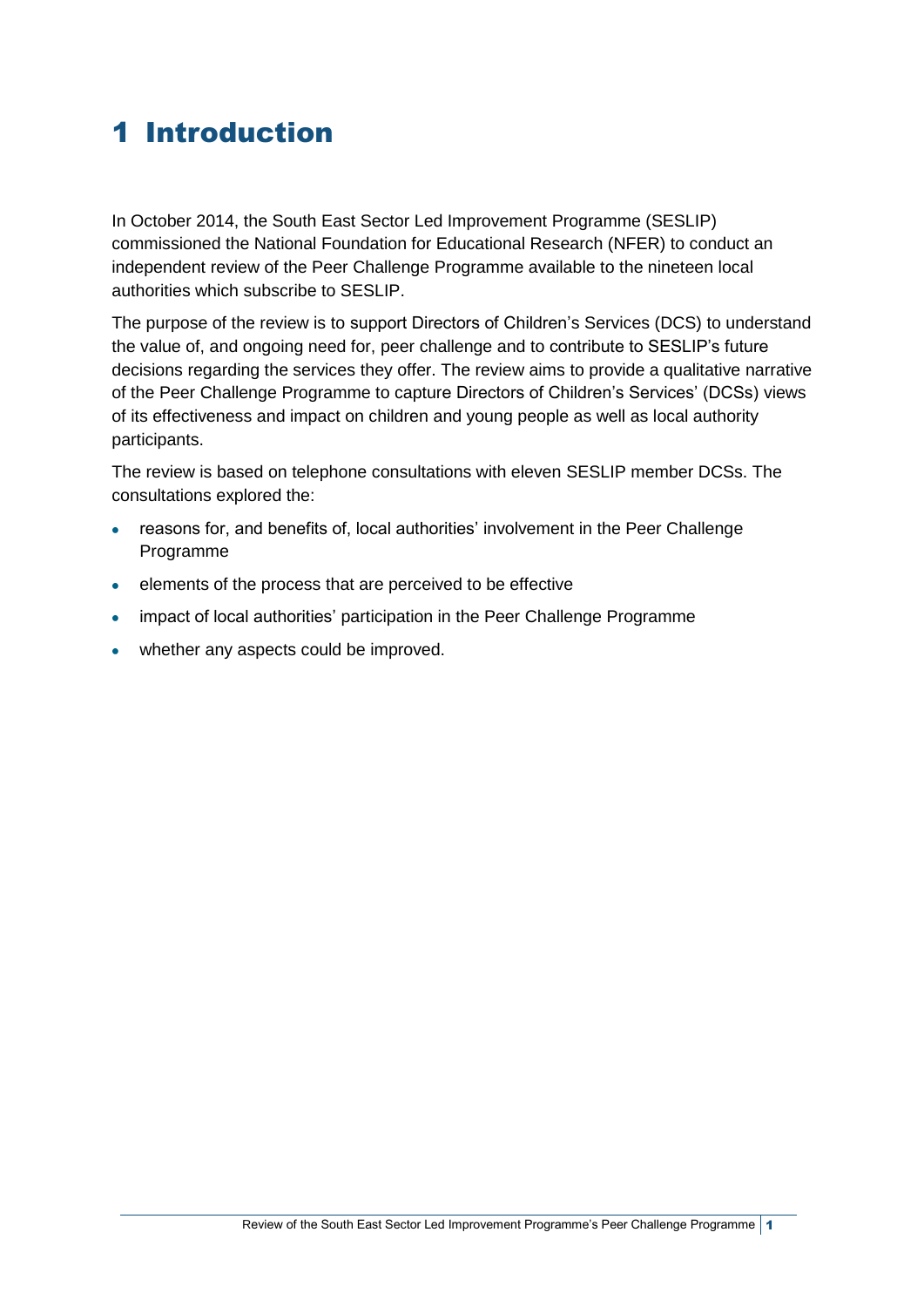## <span id="page-6-0"></span>1 Introduction

In October 2014, the South East Sector Led Improvement Programme (SESLIP) commissioned the National Foundation for Educational Research (NFER) to conduct an independent review of the Peer Challenge Programme available to the nineteen local authorities which subscribe to SESLIP.

The purpose of the review is to support Directors of Children's Services (DCS) to understand the value of, and ongoing need for, peer challenge and to contribute to SESLIP's future decisions regarding the services they offer. The review aims to provide a qualitative narrative of the Peer Challenge Programme to capture Directors of Children's Services' (DCSs) views of its effectiveness and impact on children and young people as well as local authority participants.

The review is based on telephone consultations with eleven SESLIP member DCSs. The consultations explored the:

- reasons for, and benefits of, local authorities' involvement in the Peer Challenge  $\bullet$ Programme
- elements of the process that are perceived to be effective  $\bullet$
- impact of local authorities' participation in the Peer Challenge Programme
- whether any aspects could be improved.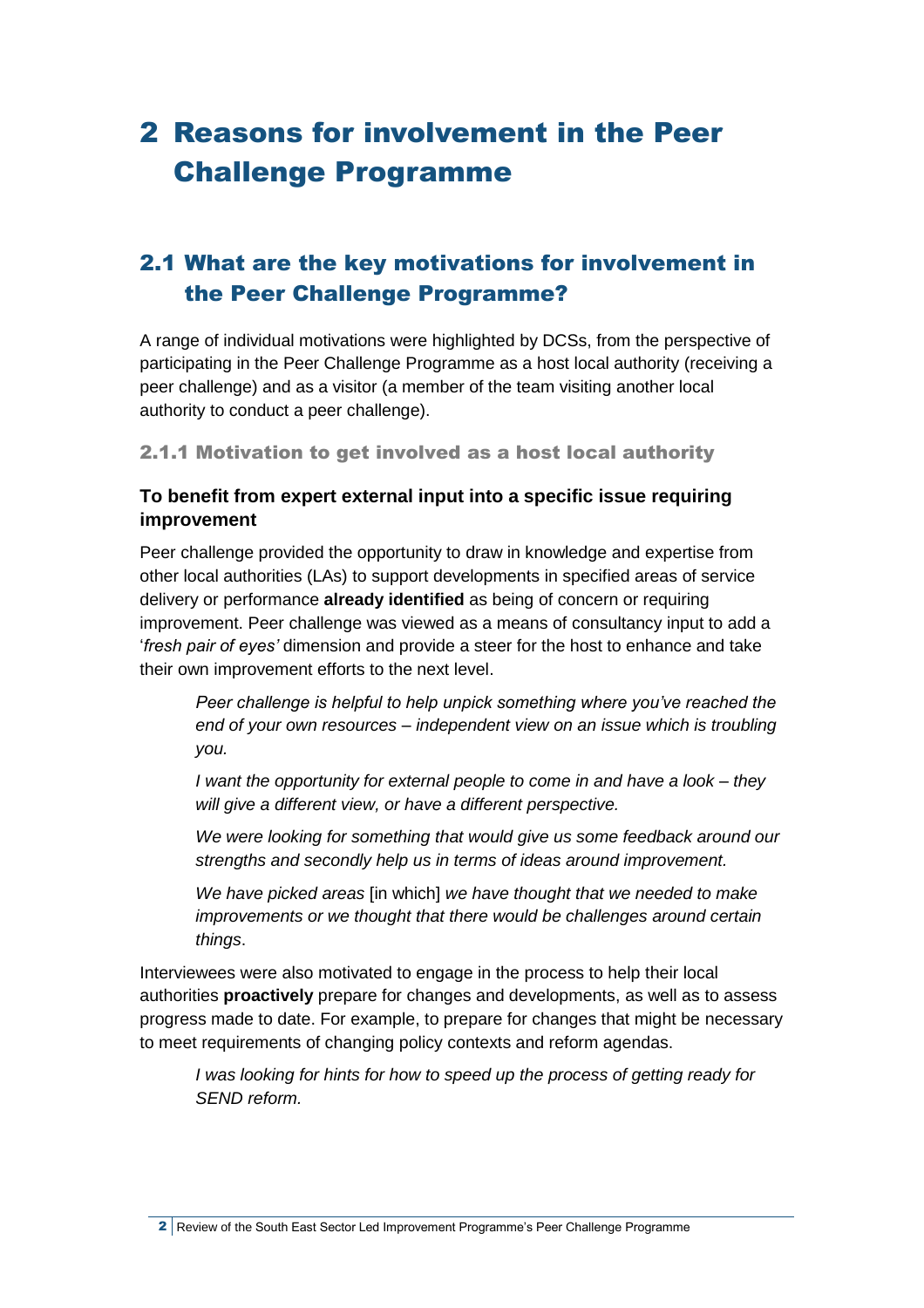## <span id="page-7-0"></span>2 Reasons for involvement in the Peer Challenge Programme

## <span id="page-7-1"></span>2.1 What are the key motivations for involvement in the Peer Challenge Programme?

A range of individual motivations were highlighted by DCSs, from the perspective of participating in the Peer Challenge Programme as a host local authority (receiving a peer challenge) and as a visitor (a member of the team visiting another local authority to conduct a peer challenge).

2.1.1 Motivation to get involved as a host local authority

## **To benefit from expert external input into a specific issue requiring improvement**

Peer challenge provided the opportunity to draw in knowledge and expertise from other local authorities (LAs) to support developments in specified areas of service delivery or performance **already identified** as being of concern or requiring improvement. Peer challenge was viewed as a means of consultancy input to add a '*fresh pair of eyes'* dimension and provide a steer for the host to enhance and take their own improvement efforts to the next level.

*Peer challenge is helpful to help unpick something where you've reached the end of your own resources – independent view on an issue which is troubling you.*

*I want the opportunity for external people to come in and have a look – they will give a different view, or have a different perspective.*

*We were looking for something that would give us some feedback around our strengths and secondly help us in terms of ideas around improvement.*

*We have picked areas* [in which] *we have thought that we needed to make improvements or we thought that there would be challenges around certain things*.

Interviewees were also motivated to engage in the process to help their local authorities **proactively** prepare for changes and developments, as well as to assess progress made to date. For example, to prepare for changes that might be necessary to meet requirements of changing policy contexts and reform agendas.

*I was looking for hints for how to speed up the process of getting ready for SEND reform.* 

2 Review of the South East Sector Led Improvement Programme's Peer Challenge Programme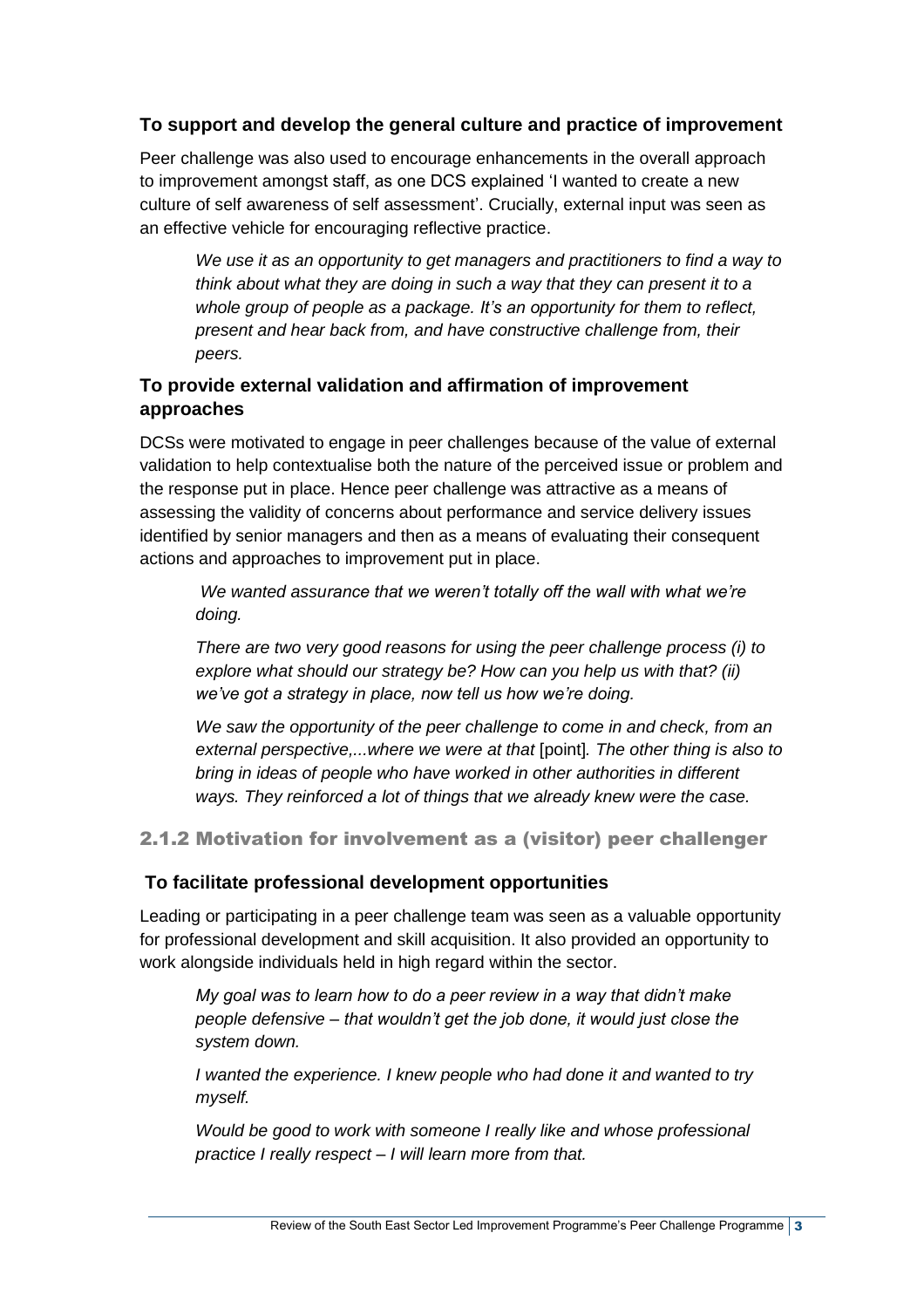## **To support and develop the general culture and practice of improvement**

Peer challenge was also used to encourage enhancements in the overall approach to improvement amongst staff, as one DCS explained 'I wanted to create a new culture of self awareness of self assessment'. Crucially, external input was seen as an effective vehicle for encouraging reflective practice.

*We use it as an opportunity to get managers and practitioners to find a way to think about what they are doing in such a way that they can present it to a whole group of people as a package. It's an opportunity for them to reflect, present and hear back from, and have constructive challenge from, their peers.*

## **To provide external validation and affirmation of improvement approaches**

DCSs were motivated to engage in peer challenges because of the value of external validation to help contextualise both the nature of the perceived issue or problem and the response put in place. Hence peer challenge was attractive as a means of assessing the validity of concerns about performance and service delivery issues identified by senior managers and then as a means of evaluating their consequent actions and approaches to improvement put in place.

*We wanted assurance that we weren't totally off the wall with what we're doing.*

*There are two very good reasons for using the peer challenge process (i) to explore what should our strategy be? How can you help us with that? (ii) we've got a strategy in place, now tell us how we're doing.*

*We saw the opportunity of the peer challenge to come in and check, from an external perspective,...where we were at that* [point]*. The other thing is also to bring in ideas of people who have worked in other authorities in different ways. They reinforced a lot of things that we already knew were the case.*

2.1.2 Motivation for involvement as a (visitor) peer challenger

### **To facilitate professional development opportunities**

Leading or participating in a peer challenge team was seen as a valuable opportunity for professional development and skill acquisition. It also provided an opportunity to work alongside individuals held in high regard within the sector.

*My goal was to learn how to do a peer review in a way that didn't make people defensive – that wouldn't get the job done, it would just close the system down.*

*I wanted the experience. I knew people who had done it and wanted to try myself.*

*Would be good to work with someone I really like and whose professional practice I really respect – I will learn more from that.*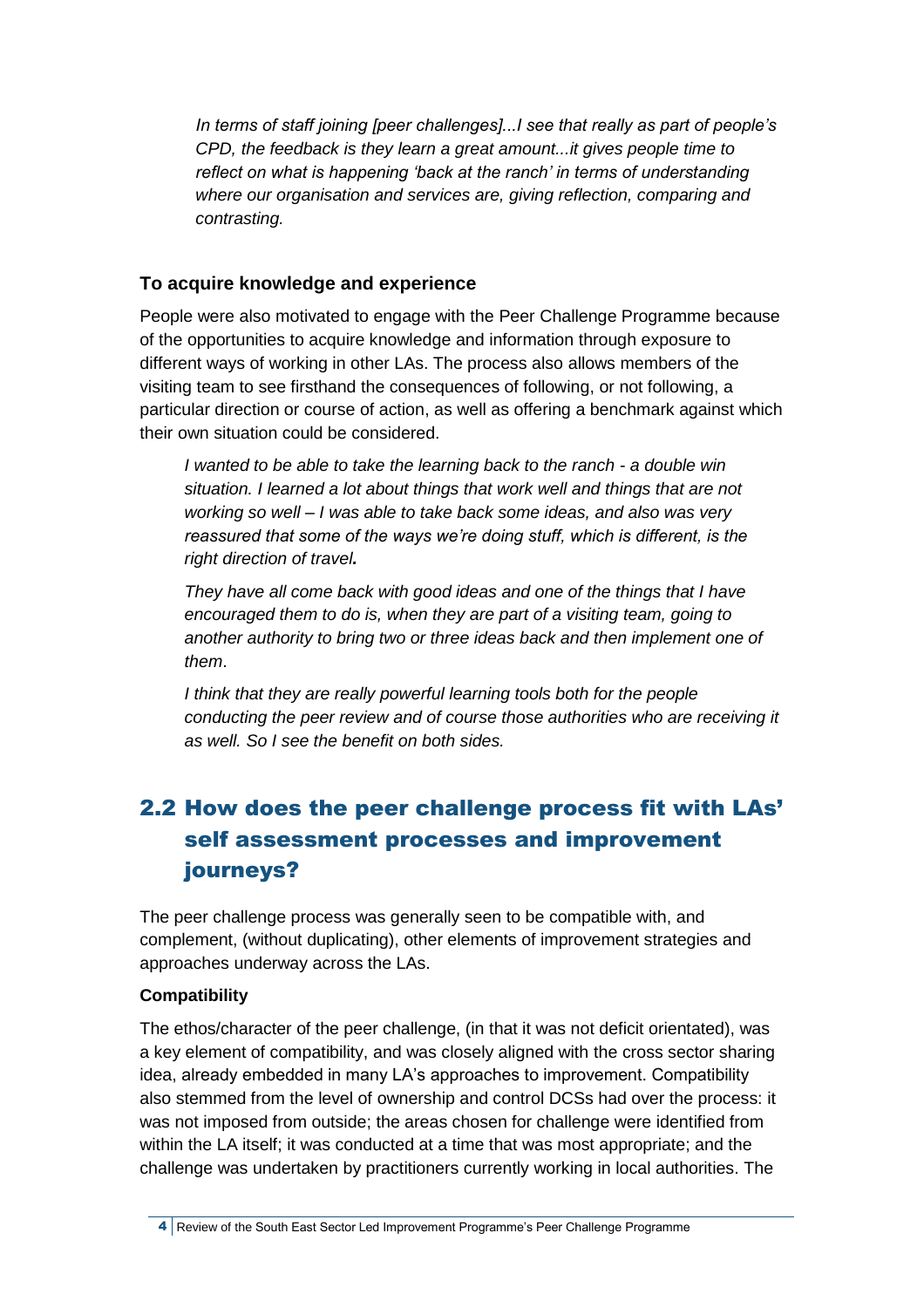*In terms of staff joining [peer challenges]...I see that really as part of people's CPD, the feedback is they learn a great amount...it gives people time to reflect on what is happening 'back at the ranch' in terms of understanding where our organisation and services are, giving reflection, comparing and contrasting.*

## **To acquire knowledge and experience**

People were also motivated to engage with the Peer Challenge Programme because of the opportunities to acquire knowledge and information through exposure to different ways of working in other LAs. The process also allows members of the visiting team to see firsthand the consequences of following, or not following, a particular direction or course of action, as well as offering a benchmark against which their own situation could be considered.

*I wanted to be able to take the learning back to the ranch - a double win situation. I learned a lot about things that work well and things that are not working so well – I was able to take back some ideas, and also was very reassured that some of the ways we're doing stuff, which is different, is the right direction of travel.*

*They have all come back with good ideas and one of the things that I have encouraged them to do is, when they are part of a visiting team, going to another authority to bring two or three ideas back and then implement one of them*.

*I think that they are really powerful learning tools both for the people conducting the peer review and of course those authorities who are receiving it as well. So I see the benefit on both sides.*

## <span id="page-9-0"></span>2.2 How does the peer challenge process fit with LAs' self assessment processes and improvement journeys?

The peer challenge process was generally seen to be compatible with, and complement, (without duplicating), other elements of improvement strategies and approaches underway across the LAs.

### **Compatibility**

The ethos/character of the peer challenge, (in that it was not deficit orientated), was a key element of compatibility, and was closely aligned with the cross sector sharing idea, already embedded in many LA's approaches to improvement. Compatibility also stemmed from the level of ownership and control DCSs had over the process: it was not imposed from outside; the areas chosen for challenge were identified from within the LA itself; it was conducted at a time that was most appropriate; and the challenge was undertaken by practitioners currently working in local authorities. The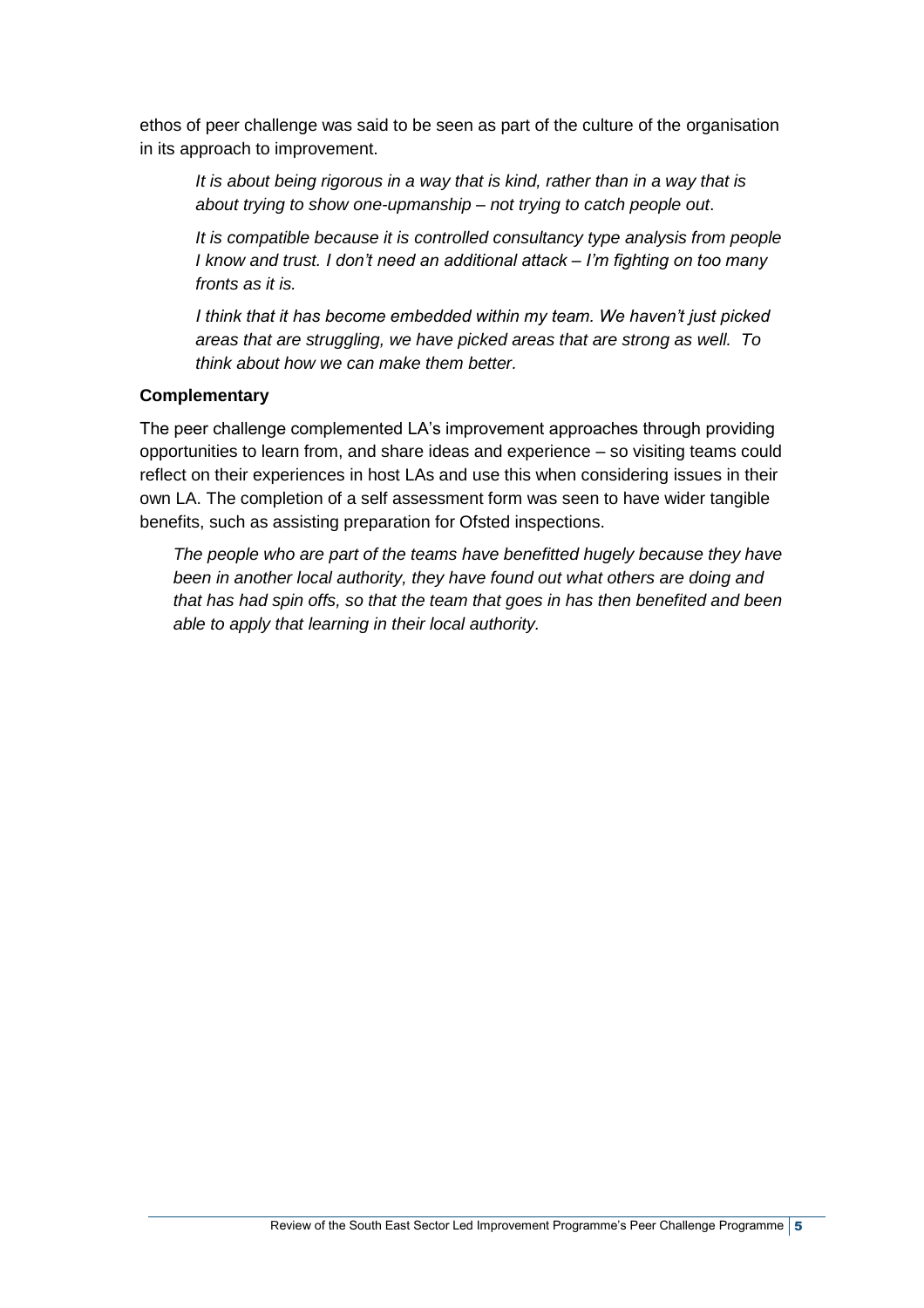ethos of peer challenge was said to be seen as part of the culture of the organisation in its approach to improvement.

*It is about being rigorous in a way that is kind, rather than in a way that is about trying to show one-upmanship – not trying to catch people out*.

*It is compatible because it is controlled consultancy type analysis from people I know and trust. I don't need an additional attack – I'm fighting on too many fronts as it is.* 

*I think that it has become embedded within my team. We haven't just picked areas that are struggling, we have picked areas that are strong as well. To think about how we can make them better.*

#### **Complementary**

The peer challenge complemented LA's improvement approaches through providing opportunities to learn from, and share ideas and experience – so visiting teams could reflect on their experiences in host LAs and use this when considering issues in their own LA. The completion of a self assessment form was seen to have wider tangible benefits, such as assisting preparation for Ofsted inspections.

*The people who are part of the teams have benefitted hugely because they have been in another local authority, they have found out what others are doing and that has had spin offs, so that the team that goes in has then benefited and been able to apply that learning in their local authority.*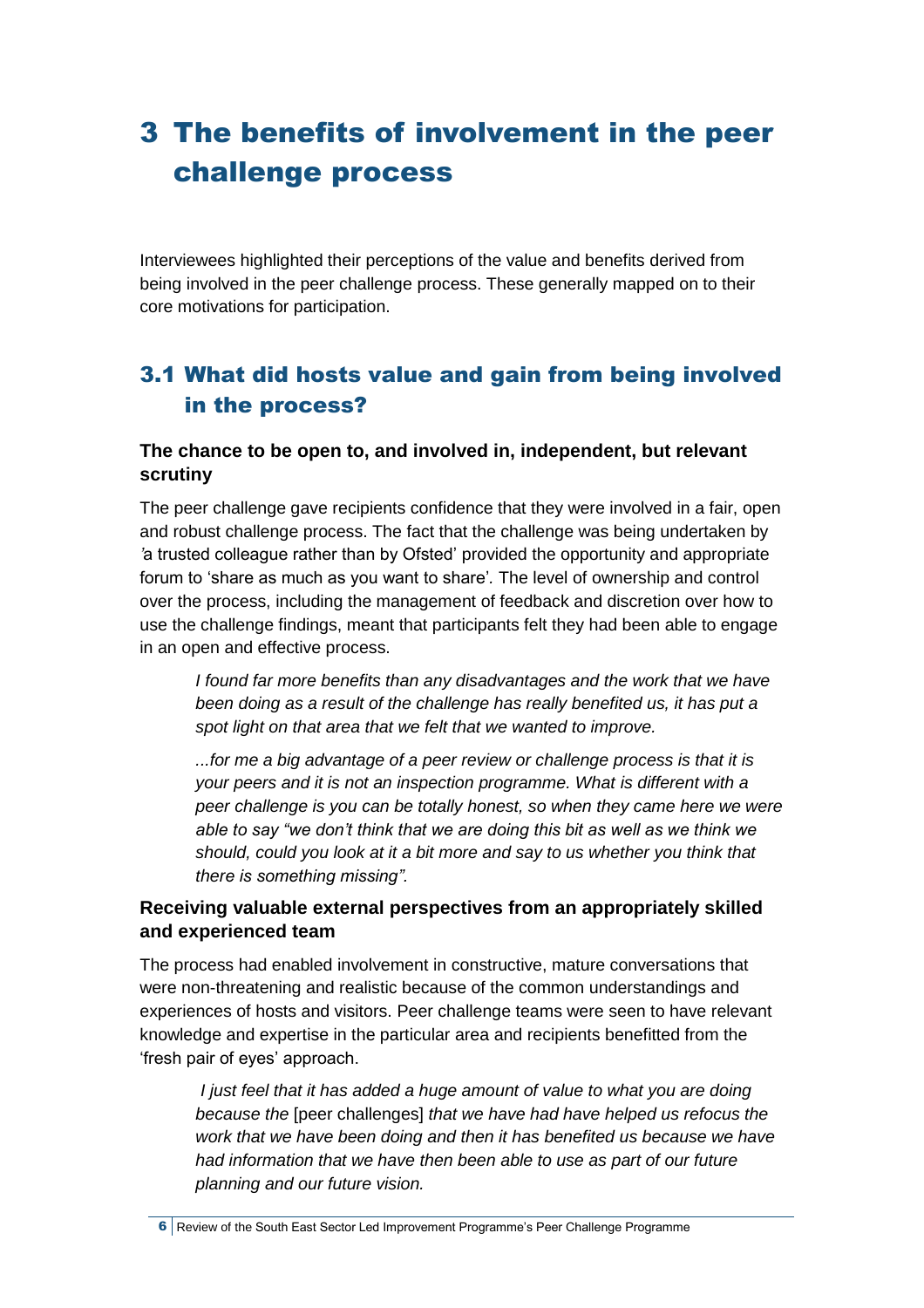## <span id="page-11-0"></span>3 The benefits of involvement in the peer challenge process

Interviewees highlighted their perceptions of the value and benefits derived from being involved in the peer challenge process. These generally mapped on to their core motivations for participation.

## <span id="page-11-1"></span>3.1 What did hosts value and gain from being involved in the process?

## **The chance to be open to, and involved in, independent, but relevant scrutiny**

The peer challenge gave recipients confidence that they were involved in a fair, open and robust challenge process. The fact that the challenge was being undertaken by *'*a trusted colleague rather than by Ofsted' provided the opportunity and appropriate forum to 'share as much as you want to share'*.* The level of ownership and control over the process, including the management of feedback and discretion over how to use the challenge findings, meant that participants felt they had been able to engage in an open and effective process.

*I found far more benefits than any disadvantages and the work that we have been doing as a result of the challenge has really benefited us, it has put a spot light on that area that we felt that we wanted to improve.*

*...for me a big advantage of a peer review or challenge process is that it is your peers and it is not an inspection programme. What is different with a peer challenge is you can be totally honest, so when they came here we were able to say "we don't think that we are doing this bit as well as we think we should, could you look at it a bit more and say to us whether you think that there is something missing".*

## **Receiving valuable external perspectives from an appropriately skilled and experienced team**

The process had enabled involvement in constructive, mature conversations that were non-threatening and realistic because of the common understandings and experiences of hosts and visitors. Peer challenge teams were seen to have relevant knowledge and expertise in the particular area and recipients benefitted from the 'fresh pair of eyes' approach.

*I just feel that it has added a huge amount of value to what you are doing because the* [peer challenges] *that we have had have helped us refocus the work that we have been doing and then it has benefited us because we have had information that we have then been able to use as part of our future planning and our future vision.*

<sup>6</sup> Review of the South East Sector Led Improvement Programme's Peer Challenge Programme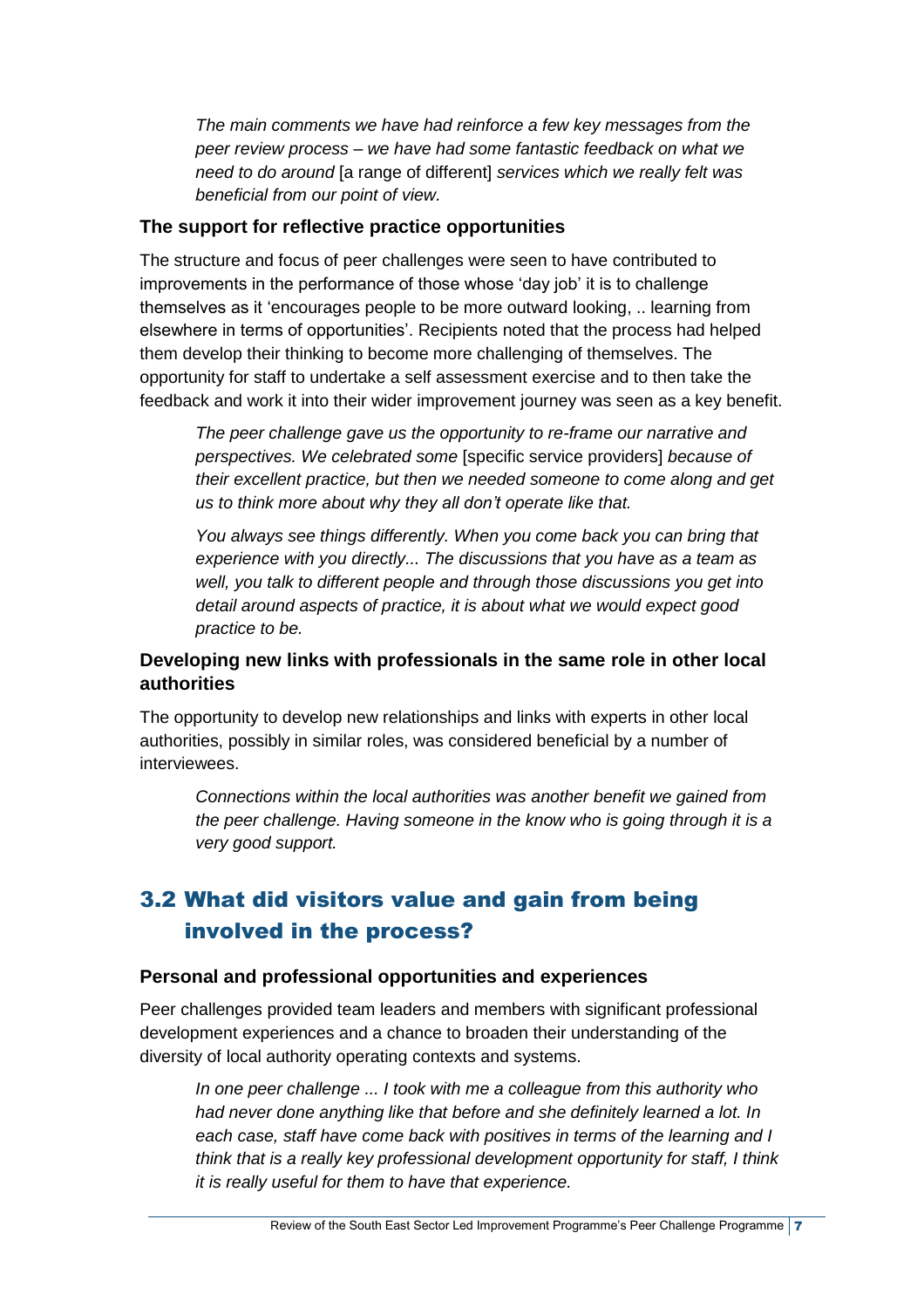*The main comments we have had reinforce a few key messages from the peer review process – we have had some fantastic feedback on what we need to do around* [a range of different] *services which we really felt was beneficial from our point of view.*

### **The support for reflective practice opportunities**

The structure and focus of peer challenges were seen to have contributed to improvements in the performance of those whose 'day job' it is to challenge themselves as it 'encourages people to be more outward looking, .. learning from elsewhere in terms of opportunities'. Recipients noted that the process had helped them develop their thinking to become more challenging of themselves. The opportunity for staff to undertake a self assessment exercise and to then take the feedback and work it into their wider improvement journey was seen as a key benefit.

*The peer challenge gave us the opportunity to re-frame our narrative and perspectives. We celebrated some* [specific service providers] *because of their excellent practice, but then we needed someone to come along and get us to think more about why they all don't operate like that.*

*You always see things differently. When you come back you can bring that experience with you directly... The discussions that you have as a team as well, you talk to different people and through those discussions you get into detail around aspects of practice, it is about what we would expect good practice to be.*

## **Developing new links with professionals in the same role in other local authorities**

The opportunity to develop new relationships and links with experts in other local authorities, possibly in similar roles, was considered beneficial by a number of interviewees.

*Connections within the local authorities was another benefit we gained from the peer challenge. Having someone in the know who is going through it is a very good support.*

## <span id="page-12-0"></span>3.2 What did visitors value and gain from being involved in the process?

#### **Personal and professional opportunities and experiences**

Peer challenges provided team leaders and members with significant professional development experiences and a chance to broaden their understanding of the diversity of local authority operating contexts and systems.

*In one peer challenge ... I took with me a colleague from this authority who had never done anything like that before and she definitely learned a lot. In each case, staff have come back with positives in terms of the learning and I think that is a really key professional development opportunity for staff, I think it is really useful for them to have that experience.*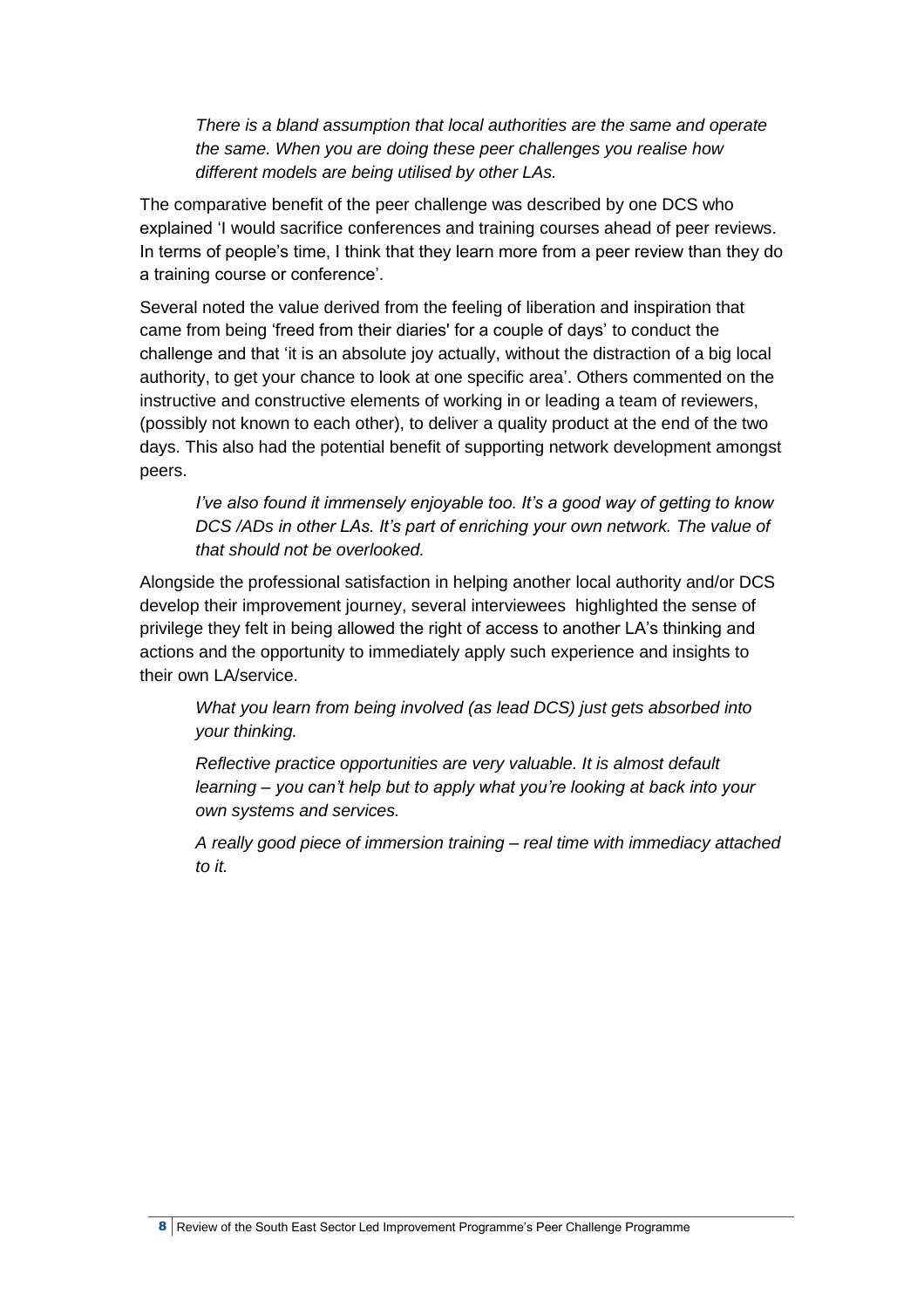*There is a bland assumption that local authorities are the same and operate the same. When you are doing these peer challenges you realise how different models are being utilised by other LAs.*

The comparative benefit of the peer challenge was described by one DCS who explained 'I would sacrifice conferences and training courses ahead of peer reviews. In terms of people's time, I think that they learn more from a peer review than they do a training course or conference'.

Several noted the value derived from the feeling of liberation and inspiration that came from being 'freed from their diaries' for a couple of days' to conduct the challenge and that 'it is an absolute joy actually, without the distraction of a big local authority, to get your chance to look at one specific area'. Others commented on the instructive and constructive elements of working in or leading a team of reviewers, (possibly not known to each other), to deliver a quality product at the end of the two days. This also had the potential benefit of supporting network development amongst peers.

*I've also found it immensely enjoyable too. It's a good way of getting to know DCS /ADs in other LAs. It's part of enriching your own network. The value of that should not be overlooked.*

Alongside the professional satisfaction in helping another local authority and/or DCS develop their improvement journey, several interviewees highlighted the sense of privilege they felt in being allowed the right of access to another LA's thinking and actions and the opportunity to immediately apply such experience and insights to their own LA/service.

*What you learn from being involved (as lead DCS) just gets absorbed into your thinking.* 

*Reflective practice opportunities are very valuable. It is almost default learning – you can't help but to apply what you're looking at back into your own systems and services.*

*A really good piece of immersion training – real time with immediacy attached to it.*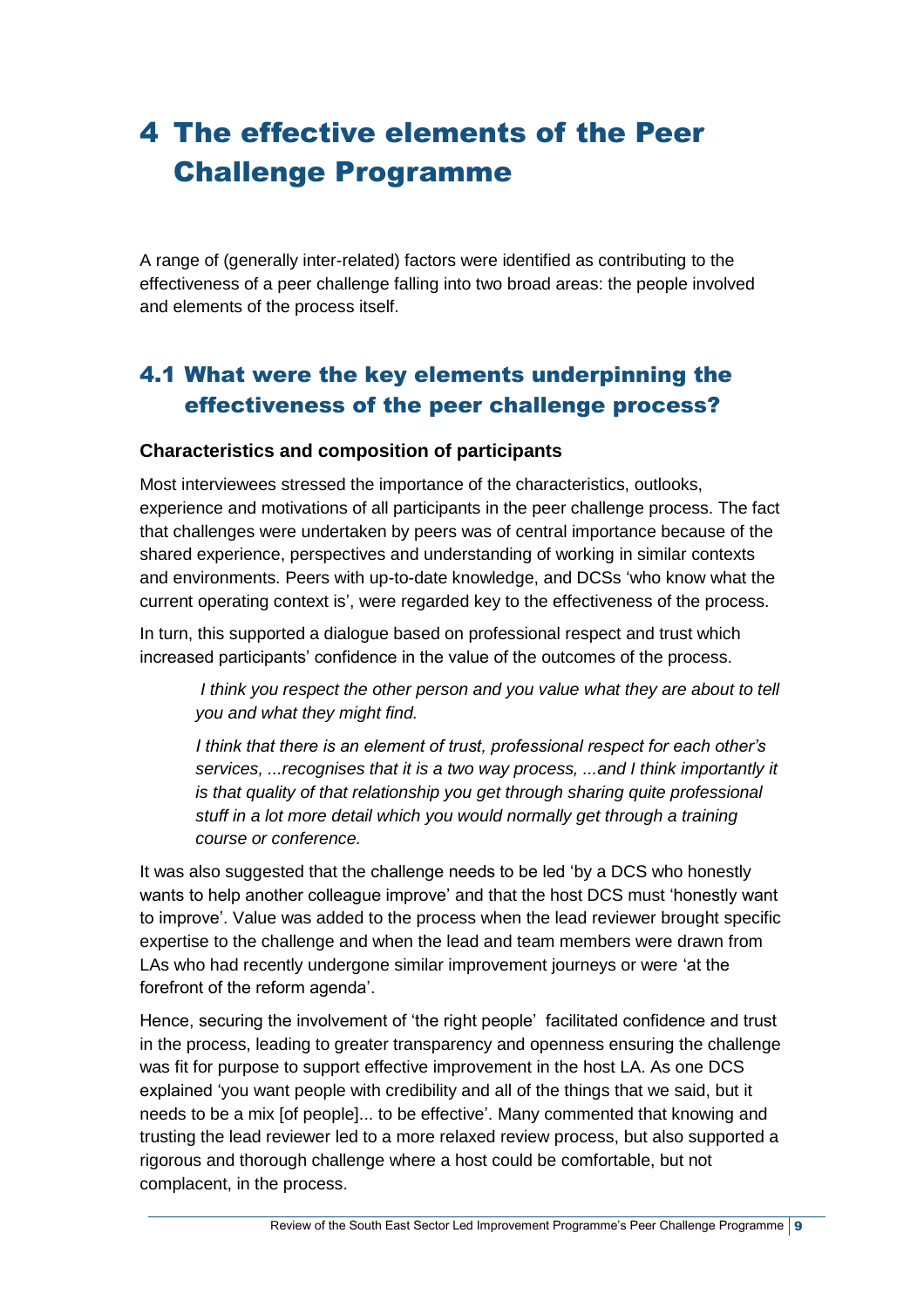# <span id="page-14-0"></span>4 The effective elements of the Peer Challenge Programme

A range of (generally inter-related) factors were identified as contributing to the effectiveness of a peer challenge falling into two broad areas: the people involved and elements of the process itself.

## <span id="page-14-1"></span>4.1 What were the key elements underpinning the effectiveness of the peer challenge process?

## **Characteristics and composition of participants**

Most interviewees stressed the importance of the characteristics, outlooks, experience and motivations of all participants in the peer challenge process. The fact that challenges were undertaken by peers was of central importance because of the shared experience, perspectives and understanding of working in similar contexts and environments. Peers with up-to-date knowledge, and DCSs 'who know what the current operating context is', were regarded key to the effectiveness of the process.

In turn, this supported a dialogue based on professional respect and trust which increased participants' confidence in the value of the outcomes of the process.

*I think you respect the other person and you value what they are about to tell you and what they might find.*

*I think that there is an element of trust, professional respect for each other's services, ...recognises that it is a two way process, ...and I think importantly it is that quality of that relationship you get through sharing quite professional stuff in a lot more detail which you would normally get through a training course or conference.*

It was also suggested that the challenge needs to be led 'by a DCS who honestly wants to help another colleague improve' and that the host DCS must 'honestly want to improve'. Value was added to the process when the lead reviewer brought specific expertise to the challenge and when the lead and team members were drawn from LAs who had recently undergone similar improvement journeys or were 'at the forefront of the reform agenda'.

Hence, securing the involvement of 'the right people' facilitated confidence and trust in the process, leading to greater transparency and openness ensuring the challenge was fit for purpose to support effective improvement in the host LA. As one DCS explained 'you want people with credibility and all of the things that we said, but it needs to be a mix [of people]... to be effective'. Many commented that knowing and trusting the lead reviewer led to a more relaxed review process, but also supported a rigorous and thorough challenge where a host could be comfortable, but not complacent, in the process.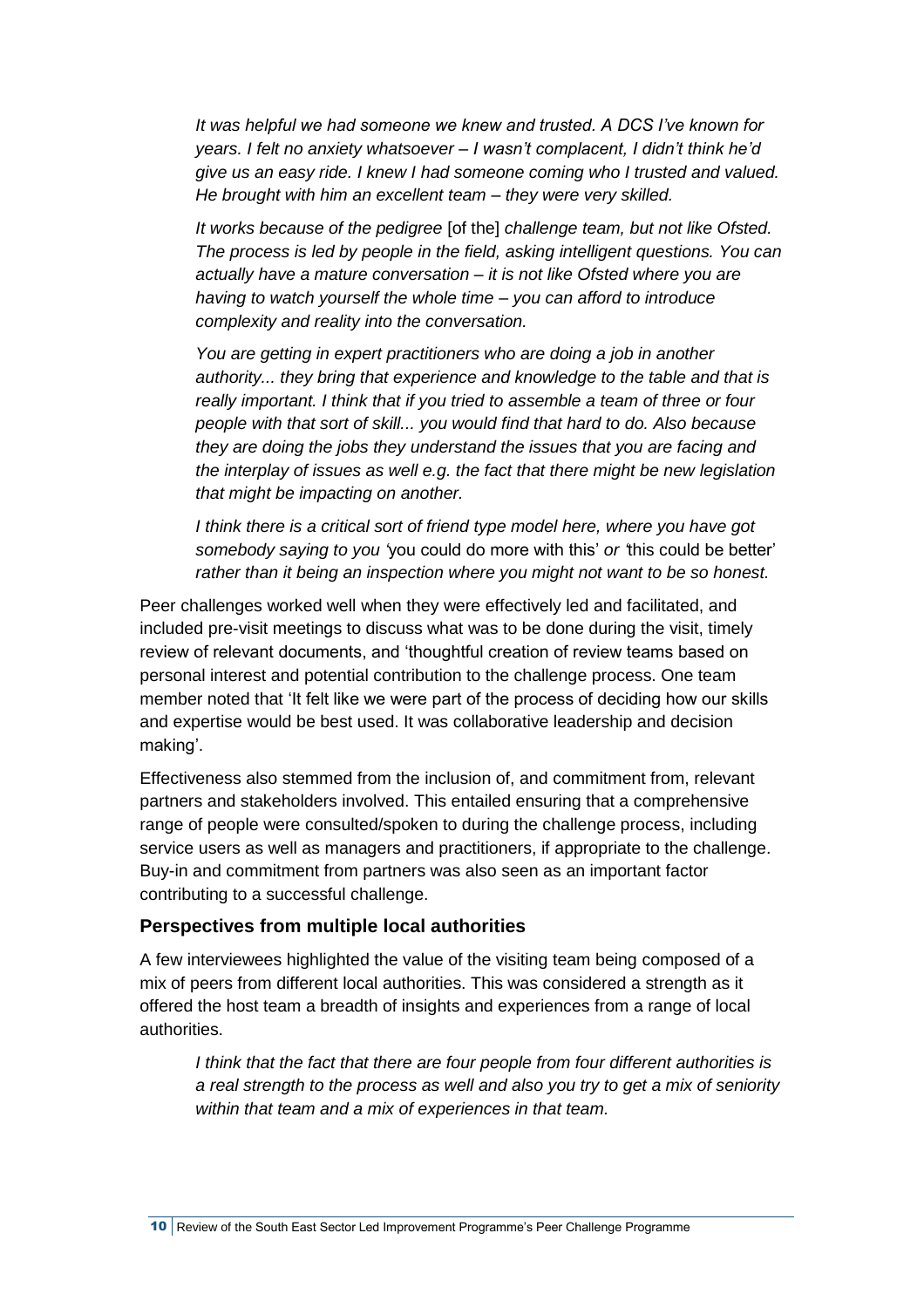*It was helpful we had someone we knew and trusted. A DCS I've known for years. I felt no anxiety whatsoever – I wasn't complacent, I didn't think he'd give us an easy ride. I knew I had someone coming who I trusted and valued. He brought with him an excellent team – they were very skilled.* 

*It works because of the pedigree* [of the] *challenge team, but not like Ofsted. The process is led by people in the field, asking intelligent questions. You can actually have a mature conversation – it is not like Ofsted where you are having to watch yourself the whole time – you can afford to introduce complexity and reality into the conversation.*

*You are getting in expert practitioners who are doing a job in another authority... they bring that experience and knowledge to the table and that is really important. I think that if you tried to assemble a team of three or four people with that sort of skill... you would find that hard to do. Also because they are doing the jobs they understand the issues that you are facing and the interplay of issues as well e.g. the fact that there might be new legislation that might be impacting on another.*

*I think there is a critical sort of friend type model here, where you have got somebody saying to you '*you could do more with this' *or '*this could be better' *rather than it being an inspection where you might not want to be so honest.*

Peer challenges worked well when they were effectively led and facilitated, and included pre-visit meetings to discuss what was to be done during the visit, timely review of relevant documents, and 'thoughtful creation of review teams based on personal interest and potential contribution to the challenge process. One team member noted that 'It felt like we were part of the process of deciding how our skills and expertise would be best used. It was collaborative leadership and decision making'.

Effectiveness also stemmed from the inclusion of, and commitment from, relevant partners and stakeholders involved. This entailed ensuring that a comprehensive range of people were consulted/spoken to during the challenge process, including service users as well as managers and practitioners, if appropriate to the challenge. Buy-in and commitment from partners was also seen as an important factor contributing to a successful challenge.

### **Perspectives from multiple local authorities**

A few interviewees highlighted the value of the visiting team being composed of a mix of peers from different local authorities. This was considered a strength as it offered the host team a breadth of insights and experiences from a range of local authorities.

*I think that the fact that there are four people from four different authorities is a real strength to the process as well and also you try to get a mix of seniority within that team and a mix of experiences in that team.*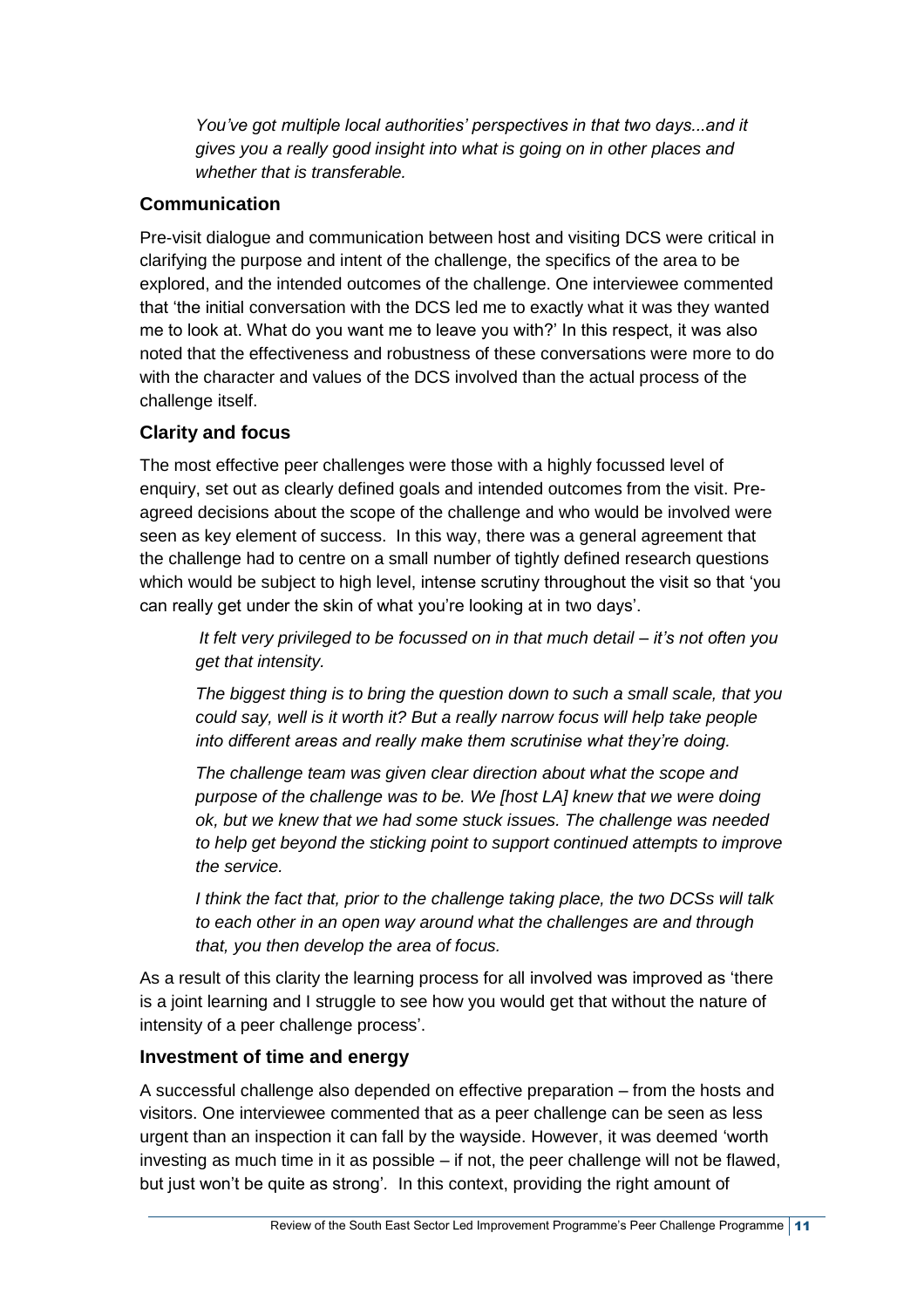*You've got multiple local authorities' perspectives in that two days...and it gives you a really good insight into what is going on in other places and whether that is transferable.*

### **Communication**

Pre-visit dialogue and communication between host and visiting DCS were critical in clarifying the purpose and intent of the challenge, the specifics of the area to be explored, and the intended outcomes of the challenge. One interviewee commented that 'the initial conversation with the DCS led me to exactly what it was they wanted me to look at. What do you want me to leave you with?' In this respect, it was also noted that the effectiveness and robustness of these conversations were more to do with the character and values of the DCS involved than the actual process of the challenge itself.

## **Clarity and focus**

The most effective peer challenges were those with a highly focussed level of enquiry, set out as clearly defined goals and intended outcomes from the visit. Preagreed decisions about the scope of the challenge and who would be involved were seen as key element of success. In this way, there was a general agreement that the challenge had to centre on a small number of tightly defined research questions which would be subject to high level, intense scrutiny throughout the visit so that 'you can really get under the skin of what you're looking at in two days'.

*It felt very privileged to be focussed on in that much detail – it's not often you get that intensity.*

*The biggest thing is to bring the question down to such a small scale, that you could say, well is it worth it? But a really narrow focus will help take people into different areas and really make them scrutinise what they're doing.*

*The challenge team was given clear direction about what the scope and purpose of the challenge was to be. We [host LA] knew that we were doing ok, but we knew that we had some stuck issues. The challenge was needed to help get beyond the sticking point to support continued attempts to improve the service.*

*I think the fact that, prior to the challenge taking place, the two DCSs will talk to each other in an open way around what the challenges are and through that, you then develop the area of focus.*

As a result of this clarity the learning process for all involved was improved as 'there is a joint learning and I struggle to see how you would get that without the nature of intensity of a peer challenge process'.

### **Investment of time and energy**

A successful challenge also depended on effective preparation – from the hosts and visitors. One interviewee commented that as a peer challenge can be seen as less urgent than an inspection it can fall by the wayside. However, it was deemed 'worth investing as much time in it as possible – if not, the peer challenge will not be flawed, but just won't be quite as strong'*.* In this context, providing the right amount of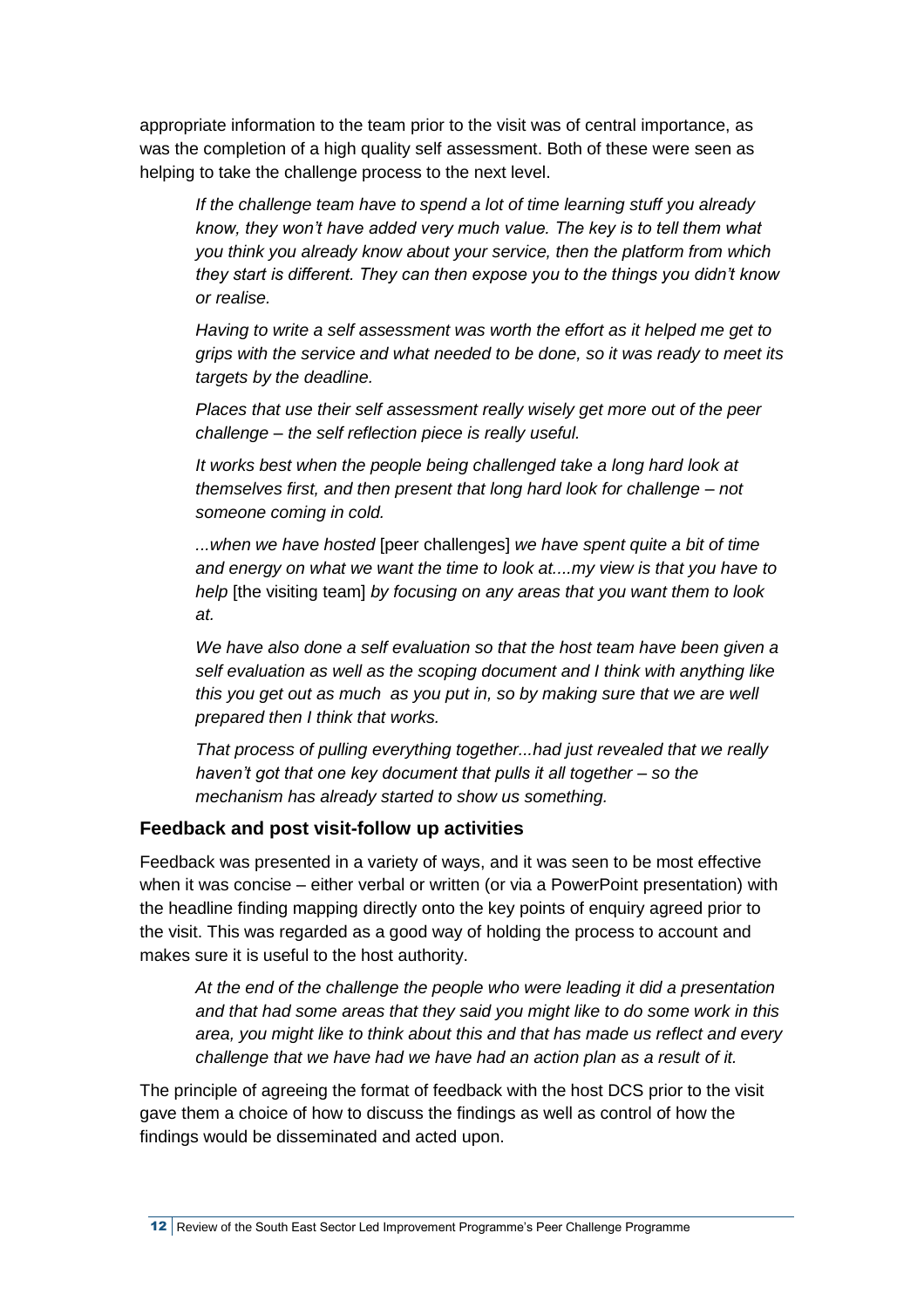appropriate information to the team prior to the visit was of central importance, as was the completion of a high quality self assessment. Both of these were seen as helping to take the challenge process to the next level.

*If the challenge team have to spend a lot of time learning stuff you already know, they won't have added very much value. The key is to tell them what you think you already know about your service, then the platform from which they start is different. They can then expose you to the things you didn't know or realise.*

*Having to write a self assessment was worth the effort as it helped me get to grips with the service and what needed to be done, so it was ready to meet its targets by the deadline.* 

*Places that use their self assessment really wisely get more out of the peer challenge – the self reflection piece is really useful.*

*It works best when the people being challenged take a long hard look at themselves first, and then present that long hard look for challenge – not someone coming in cold.*

*...when we have hosted* [peer challenges] *we have spent quite a bit of time and energy on what we want the time to look at....my view is that you have to help* [the visiting team] *by focusing on any areas that you want them to look at.*

*We have also done a self evaluation so that the host team have been given a self evaluation as well as the scoping document and I think with anything like this you get out as much as you put in, so by making sure that we are well prepared then I think that works.*

*That process of pulling everything together...had just revealed that we really haven't got that one key document that pulls it all together – so the mechanism has already started to show us something.*

#### **Feedback and post visit-follow up activities**

Feedback was presented in a variety of ways, and it was seen to be most effective when it was concise – either verbal or written (or via a PowerPoint presentation) with the headline finding mapping directly onto the key points of enquiry agreed prior to the visit. This was regarded as a good way of holding the process to account and makes sure it is useful to the host authority.

*At the end of the challenge the people who were leading it did a presentation and that had some areas that they said you might like to do some work in this area, you might like to think about this and that has made us reflect and every challenge that we have had we have had an action plan as a result of it.*

The principle of agreeing the format of feedback with the host DCS prior to the visit gave them a choice of how to discuss the findings as well as control of how the findings would be disseminated and acted upon.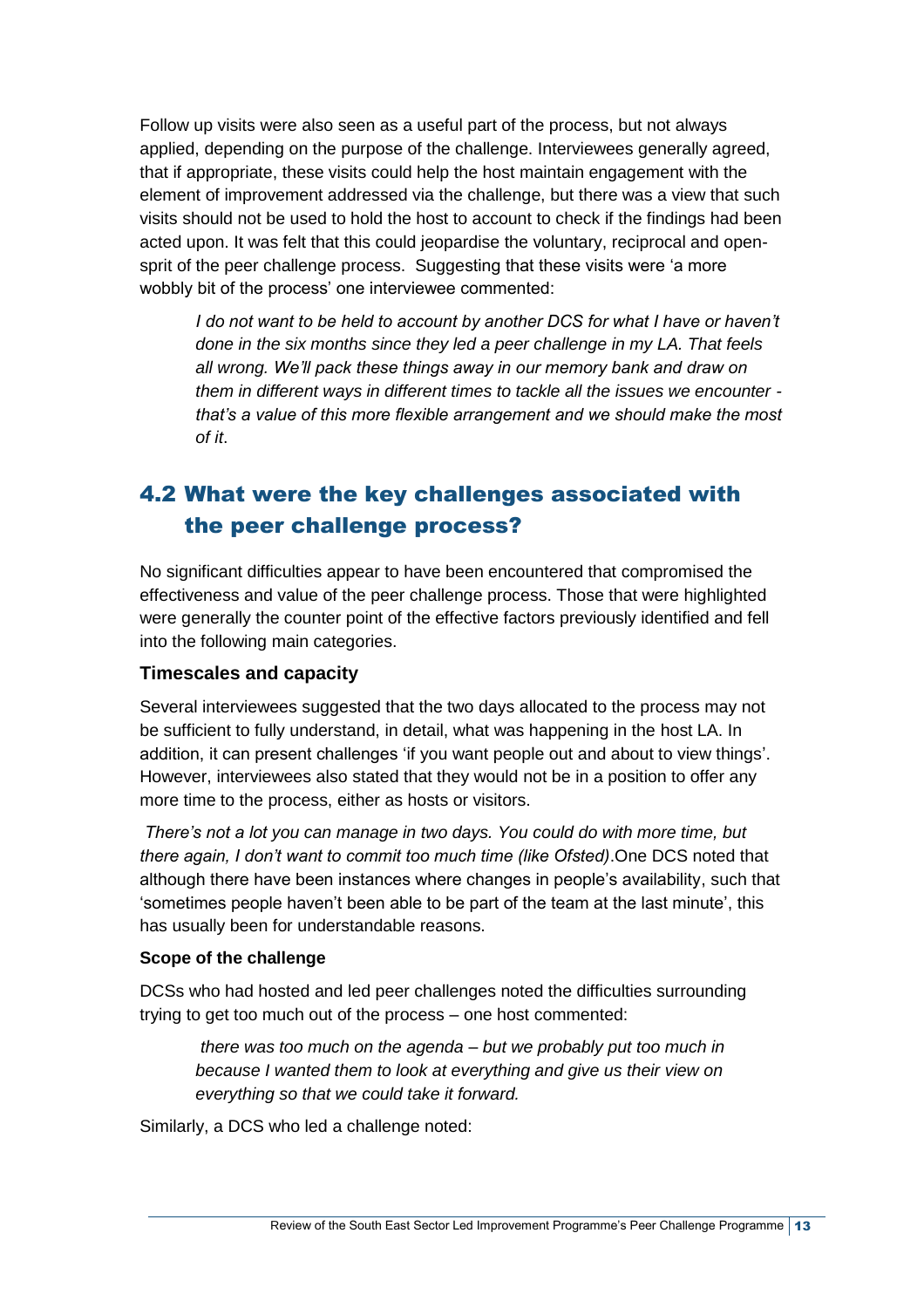Follow up visits were also seen as a useful part of the process, but not always applied, depending on the purpose of the challenge. Interviewees generally agreed, that if appropriate, these visits could help the host maintain engagement with the element of improvement addressed via the challenge, but there was a view that such visits should not be used to hold the host to account to check if the findings had been acted upon. It was felt that this could jeopardise the voluntary, reciprocal and opensprit of the peer challenge process. Suggesting that these visits were 'a more wobbly bit of the process' one interviewee commented:

*I* do not want to be held to account by another DCS for what I have or haven't *done in the six months since they led a peer challenge in my LA. That feels all wrong. We'll pack these things away in our memory bank and draw on them in different ways in different times to tackle all the issues we encounter that's a value of this more flexible arrangement and we should make the most of it*.

## <span id="page-18-0"></span>4.2 What were the key challenges associated with the peer challenge process?

No significant difficulties appear to have been encountered that compromised the effectiveness and value of the peer challenge process. Those that were highlighted were generally the counter point of the effective factors previously identified and fell into the following main categories.

#### **Timescales and capacity**

Several interviewees suggested that the two days allocated to the process may not be sufficient to fully understand, in detail, what was happening in the host LA. In addition, it can present challenges 'if you want people out and about to view things'. However, interviewees also stated that they would not be in a position to offer any more time to the process, either as hosts or visitors.

*There's not a lot you can manage in two days. You could do with more time, but there again, I don't want to commit too much time (like Ofsted)*.One DCS noted that although there have been instances where changes in people's availability, such that 'sometimes people haven't been able to be part of the team at the last minute', this has usually been for understandable reasons.

#### **Scope of the challenge**

DCSs who had hosted and led peer challenges noted the difficulties surrounding trying to get too much out of the process – one host commented:

*there was too much on the agenda – but we probably put too much in because I wanted them to look at everything and give us their view on everything so that we could take it forward.*

Similarly, a DCS who led a challenge noted: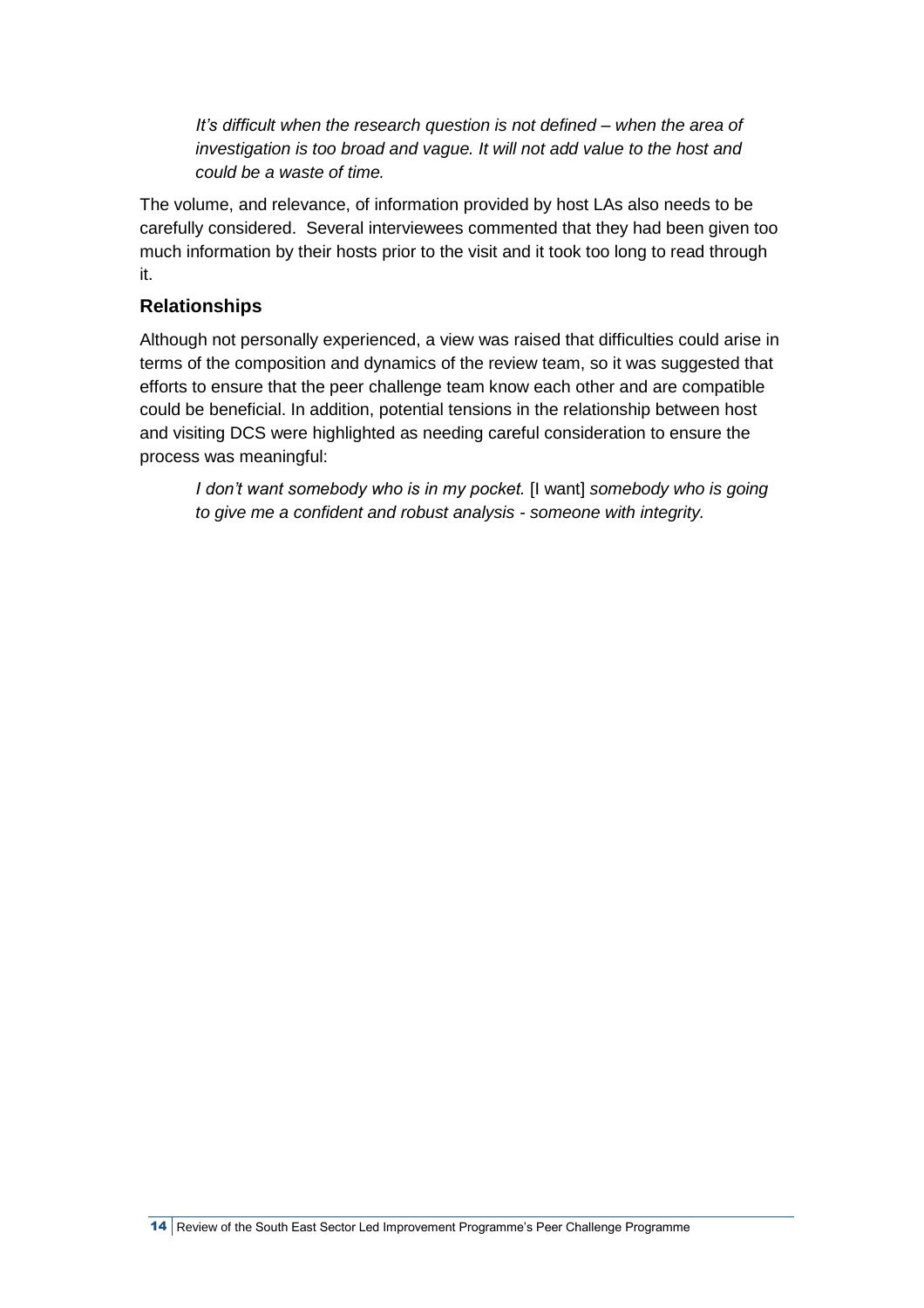*It's difficult when the research question is not defined – when the area of investigation is too broad and vague. It will not add value to the host and could be a waste of time.*

The volume, and relevance, of information provided by host LAs also needs to be carefully considered. Several interviewees commented that they had been given too much information by their hosts prior to the visit and it took too long to read through it.

## **Relationships**

Although not personally experienced, a view was raised that difficulties could arise in terms of the composition and dynamics of the review team, so it was suggested that efforts to ensure that the peer challenge team know each other and are compatible could be beneficial. In addition, potential tensions in the relationship between host and visiting DCS were highlighted as needing careful consideration to ensure the process was meaningful:

*I don't want somebody who is in my pocket.* [I want] *somebody who is going to give me a confident and robust analysis - someone with integrity.*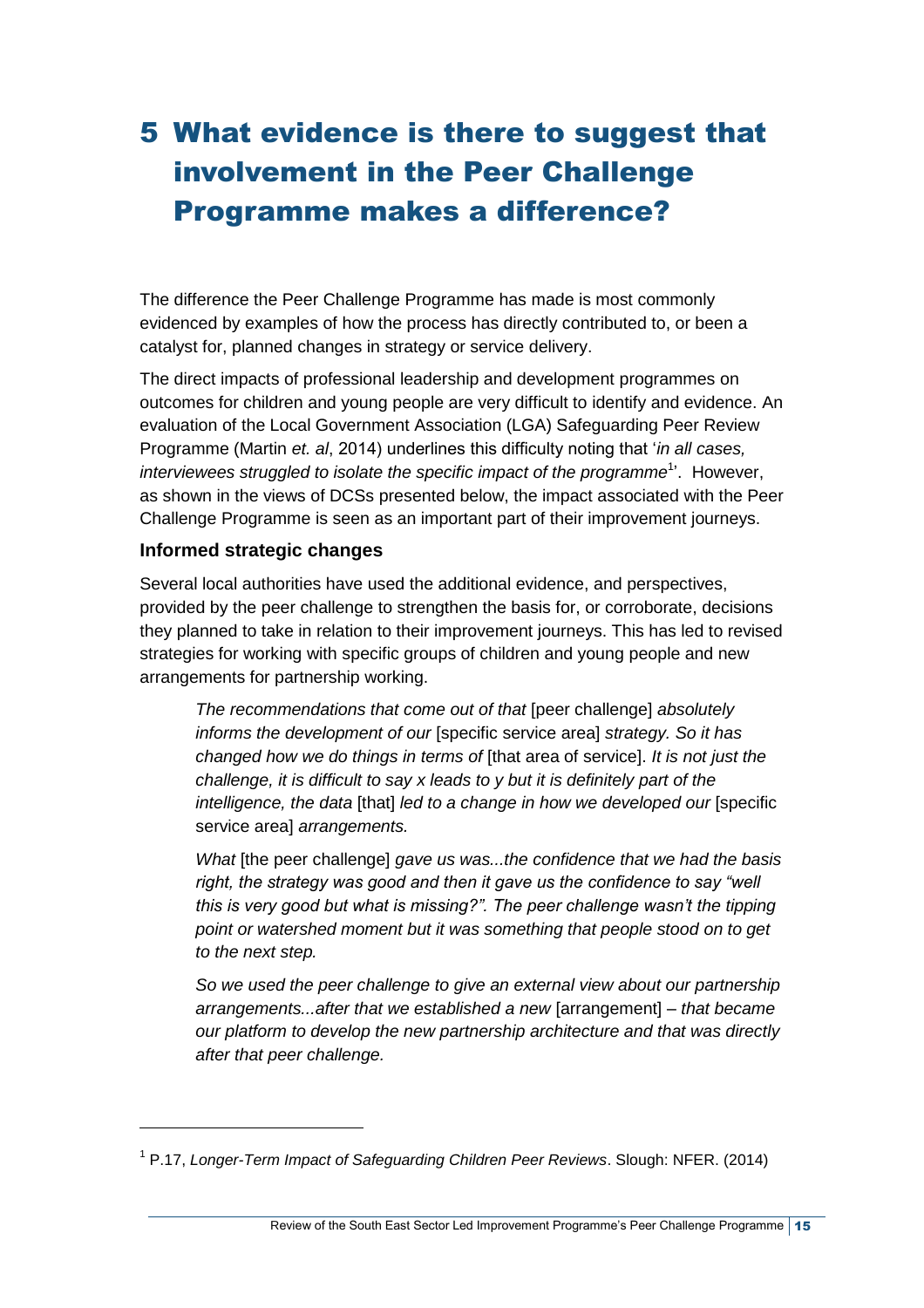# <span id="page-20-0"></span>5 What evidence is there to suggest that involvement in the Peer Challenge Programme makes a difference?

The difference the Peer Challenge Programme has made is most commonly evidenced by examples of how the process has directly contributed to, or been a catalyst for, planned changes in strategy or service delivery.

The direct impacts of professional leadership and development programmes on outcomes for children and young people are very difficult to identify and evidence. An evaluation of the Local Government Association (LGA) Safeguarding Peer Review Programme (Martin *et. al*, 2014) underlines this difficulty noting that '*in all cases, interviewees struggled to isolate the specific impact of the programme*<sup>1</sup> '. However, as shown in the views of DCSs presented below, the impact associated with the Peer Challenge Programme is seen as an important part of their improvement journeys.

### **Informed strategic changes**

l

Several local authorities have used the additional evidence, and perspectives, provided by the peer challenge to strengthen the basis for, or corroborate, decisions they planned to take in relation to their improvement journeys. This has led to revised strategies for working with specific groups of children and young people and new arrangements for partnership working.

*The recommendations that come out of that* [peer challenge] *absolutely informs the development of our* [specific service area] *strategy. So it has changed how we do things in terms of* [that area of service]. *It is not just the challenge, it is difficult to say x leads to y but it is definitely part of the intelligence, the data* [that] *led to a change in how we developed our* [specific service area] *arrangements.*

*What* [the peer challenge] *gave us was...the confidence that we had the basis right, the strategy was good and then it gave us the confidence to say "well this is very good but what is missing?". The peer challenge wasn't the tipping point or watershed moment but it was something that people stood on to get to the next step.*

*So we used the peer challenge to give an external view about our partnership arrangements...after that we established a new* [arrangement] *– that became our platform to develop the new partnership architecture and that was directly after that peer challenge.*

<sup>1</sup> P.17, *Longer-Term Impact of Safeguarding Children Peer Reviews*. Slough: NFER. (2014)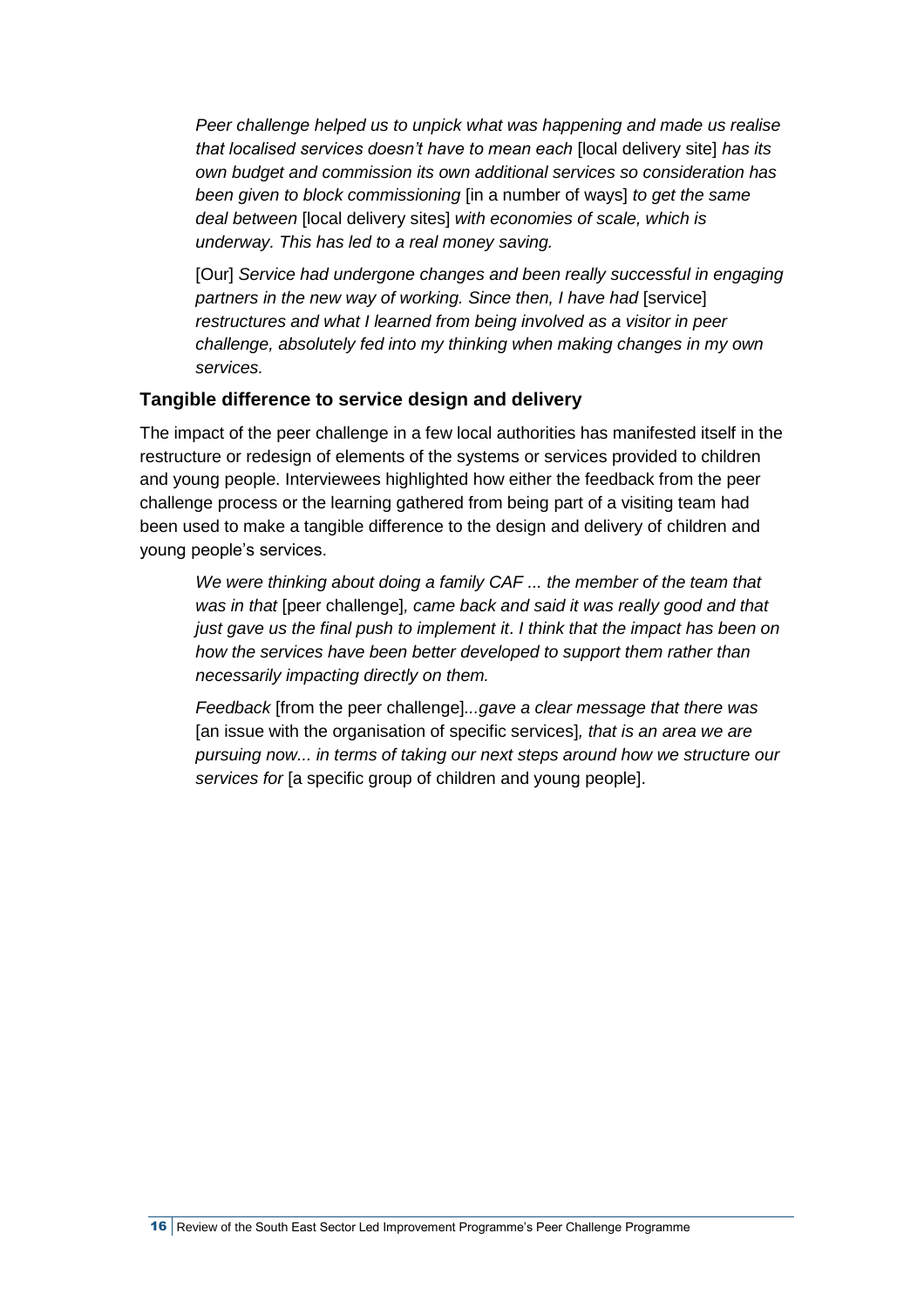*Peer challenge helped us to unpick what was happening and made us realise that localised services doesn't have to mean each* [local delivery site] *has its own budget and commission its own additional services so consideration has been given to block commissioning* [in a number of ways] *to get the same deal between* [local delivery sites] *with economies of scale, which is underway. This has led to a real money saving.*

[Our] *Service had undergone changes and been really successful in engaging partners in the new way of working. Since then, I have had [service] restructures and what I learned from being involved as a visitor in peer challenge, absolutely fed into my thinking when making changes in my own services.* 

### **Tangible difference to service design and delivery**

The impact of the peer challenge in a few local authorities has manifested itself in the restructure or redesign of elements of the systems or services provided to children and young people. Interviewees highlighted how either the feedback from the peer challenge process or the learning gathered from being part of a visiting team had been used to make a tangible difference to the design and delivery of children and young people's services.

*We were thinking about doing a family CAF ... the member of the team that was in that* [peer challenge]*, came back and said it was really good and that just gave us the final push to implement it*. *I think that the impact has been on how the services have been better developed to support them rather than necessarily impacting directly on them.*

*Feedback* [from the peer challenge]*...gave a clear message that there was*  [an issue with the organisation of specific services]*, that is an area we are pursuing now... in terms of taking our next steps around how we structure our services for* [a specific group of children and young people].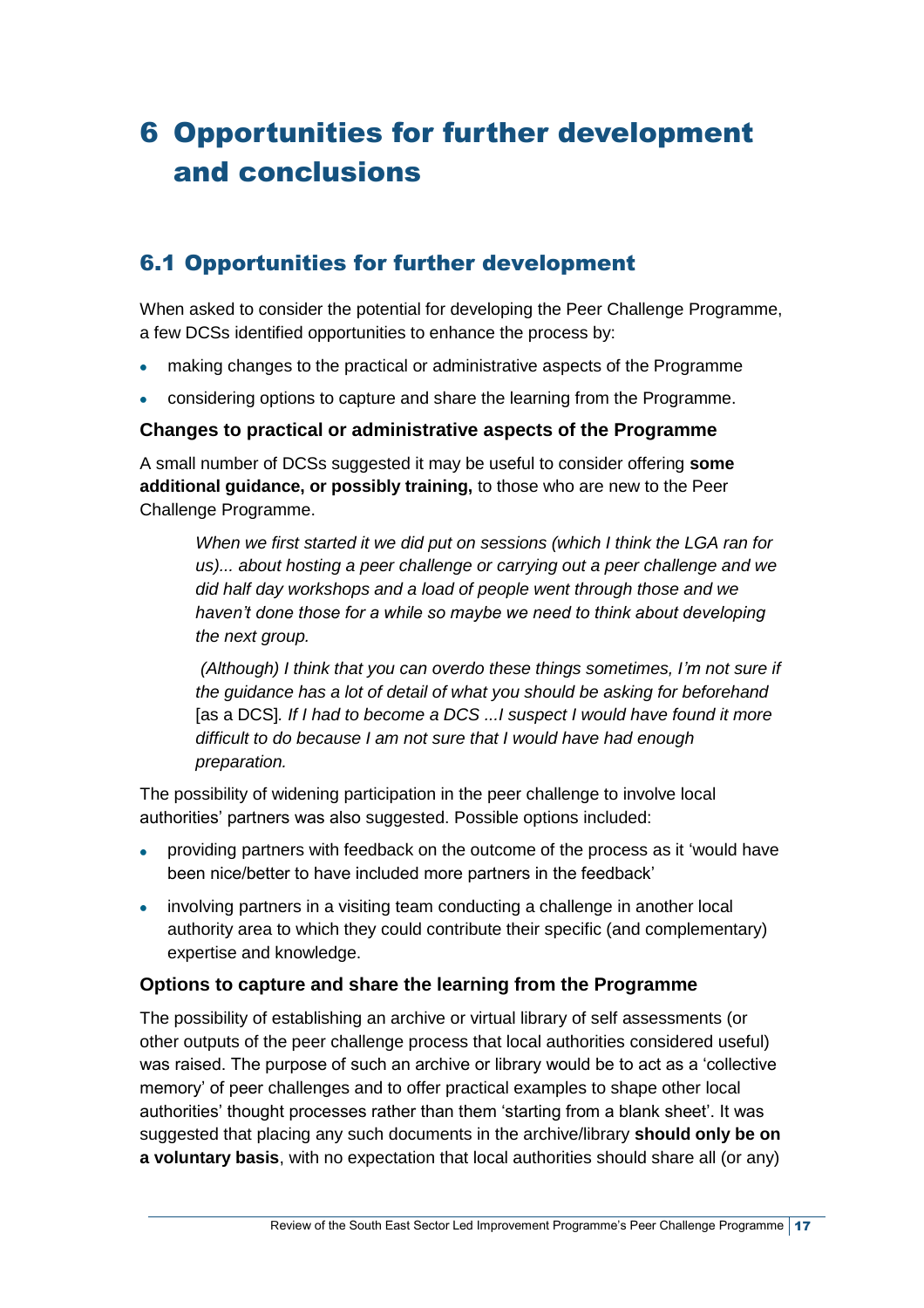# <span id="page-22-0"></span>6 Opportunities for further development and conclusions

## <span id="page-22-1"></span>6.1 Opportunities for further development

When asked to consider the potential for developing the Peer Challenge Programme, a few DCSs identified opportunities to enhance the process by:

- making changes to the practical or administrative aspects of the Programme  $\bullet$
- $\bullet$ considering options to capture and share the learning from the Programme.

### **Changes to practical or administrative aspects of the Programme**

A small number of DCSs suggested it may be useful to consider offering **some additional guidance, or possibly training,** to those who are new to the Peer Challenge Programme.

*When we first started it we did put on sessions (which I think the LGA ran for us)... about hosting a peer challenge or carrying out a peer challenge and we did half day workshops and a load of people went through those and we haven't done those for a while so maybe we need to think about developing the next group.*

*(Although) I think that you can overdo these things sometimes, I'm not sure if the guidance has a lot of detail of what you should be asking for beforehand*  [as a DCS]*. If I had to become a DCS ...I suspect I would have found it more difficult to do because I am not sure that I would have had enough preparation.*

The possibility of widening participation in the peer challenge to involve local authorities' partners was also suggested. Possible options included:

- providing partners with feedback on the outcome of the process as it 'would have  $\bullet$ been nice/better to have included more partners in the feedback'
- involving partners in a visiting team conducting a challenge in another local authority area to which they could contribute their specific (and complementary) expertise and knowledge.

### **Options to capture and share the learning from the Programme**

The possibility of establishing an archive or virtual library of self assessments (or other outputs of the peer challenge process that local authorities considered useful) was raised. The purpose of such an archive or library would be to act as a 'collective memory' of peer challenges and to offer practical examples to shape other local authorities' thought processes rather than them 'starting from a blank sheet'. It was suggested that placing any such documents in the archive/library **should only be on a voluntary basis**, with no expectation that local authorities should share all (or any)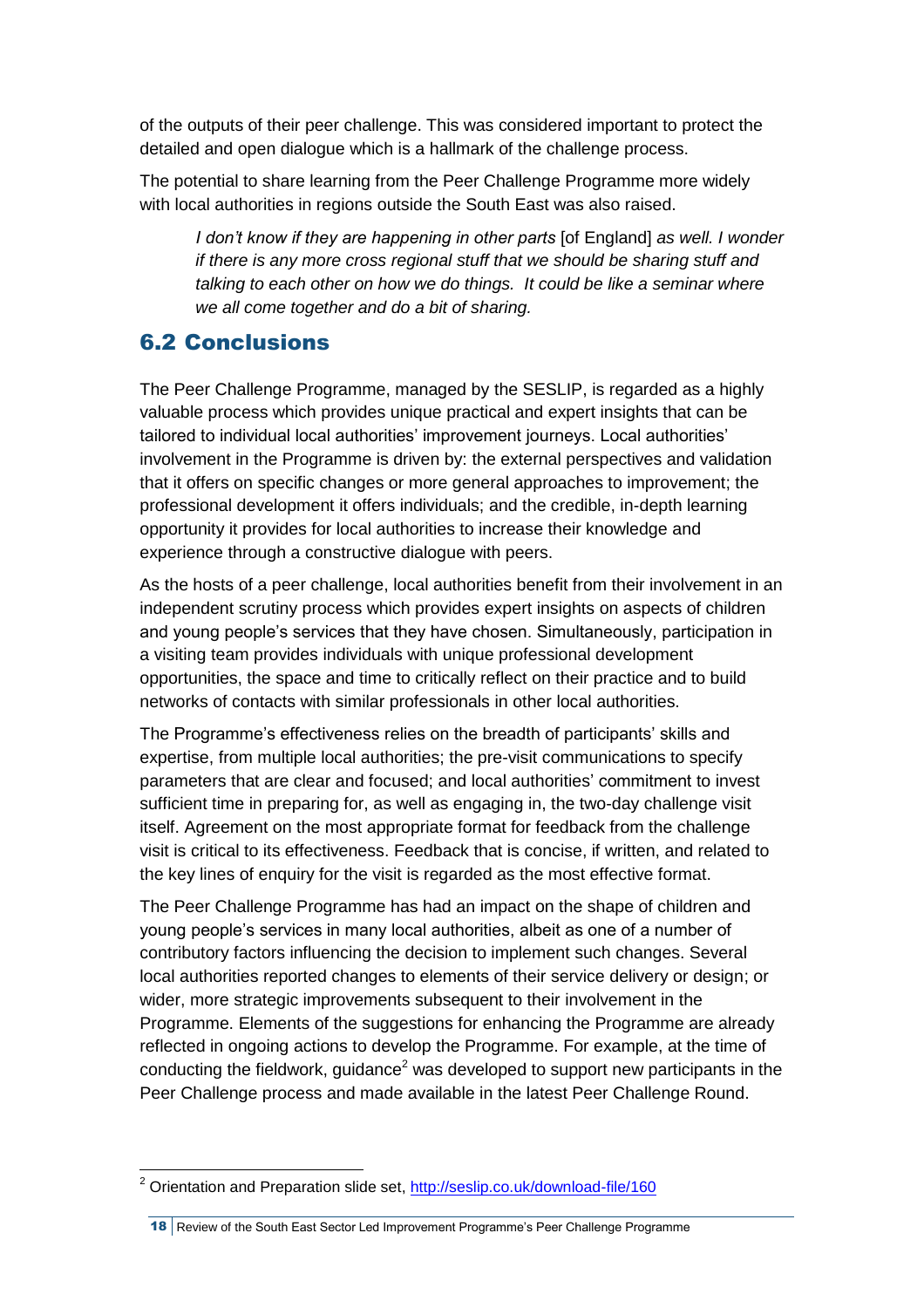of the outputs of their peer challenge. This was considered important to protect the detailed and open dialogue which is a hallmark of the challenge process.

The potential to share learning from the Peer Challenge Programme more widely with local authorities in regions outside the South East was also raised.

*I don't know if they are happening in other parts* [of England] *as well. I wonder if there is any more cross regional stuff that we should be sharing stuff and talking to each other on how we do things. It could be like a seminar where we all come together and do a bit of sharing.*

## <span id="page-23-0"></span>6.2 Conclusions

l

The Peer Challenge Programme, managed by the SESLIP, is regarded as a highly valuable process which provides unique practical and expert insights that can be tailored to individual local authorities' improvement journeys. Local authorities' involvement in the Programme is driven by: the external perspectives and validation that it offers on specific changes or more general approaches to improvement; the professional development it offers individuals; and the credible, in-depth learning opportunity it provides for local authorities to increase their knowledge and experience through a constructive dialogue with peers.

As the hosts of a peer challenge, local authorities benefit from their involvement in an independent scrutiny process which provides expert insights on aspects of children and young people's services that they have chosen. Simultaneously, participation in a visiting team provides individuals with unique professional development opportunities, the space and time to critically reflect on their practice and to build networks of contacts with similar professionals in other local authorities.

The Programme's effectiveness relies on the breadth of participants' skills and expertise, from multiple local authorities; the pre-visit communications to specify parameters that are clear and focused; and local authorities' commitment to invest sufficient time in preparing for, as well as engaging in, the two-day challenge visit itself. Agreement on the most appropriate format for feedback from the challenge visit is critical to its effectiveness. Feedback that is concise, if written, and related to the key lines of enquiry for the visit is regarded as the most effective format.

The Peer Challenge Programme has had an impact on the shape of children and young people's services in many local authorities, albeit as one of a number of contributory factors influencing the decision to implement such changes. Several local authorities reported changes to elements of their service delivery or design; or wider, more strategic improvements subsequent to their involvement in the Programme. Elements of the suggestions for enhancing the Programme are already reflected in ongoing actions to develop the Programme. For example, at the time of conducting the fieldwork, guidance<sup>2</sup> was developed to support new participants in the Peer Challenge process and made available in the latest Peer Challenge Round.

<sup>&</sup>lt;sup>2</sup> Orientation and Preparation slide set, <http://seslip.co.uk/download-file/160>

<sup>18</sup> Review of the South East Sector Led Improvement Programme's Peer Challenge Programme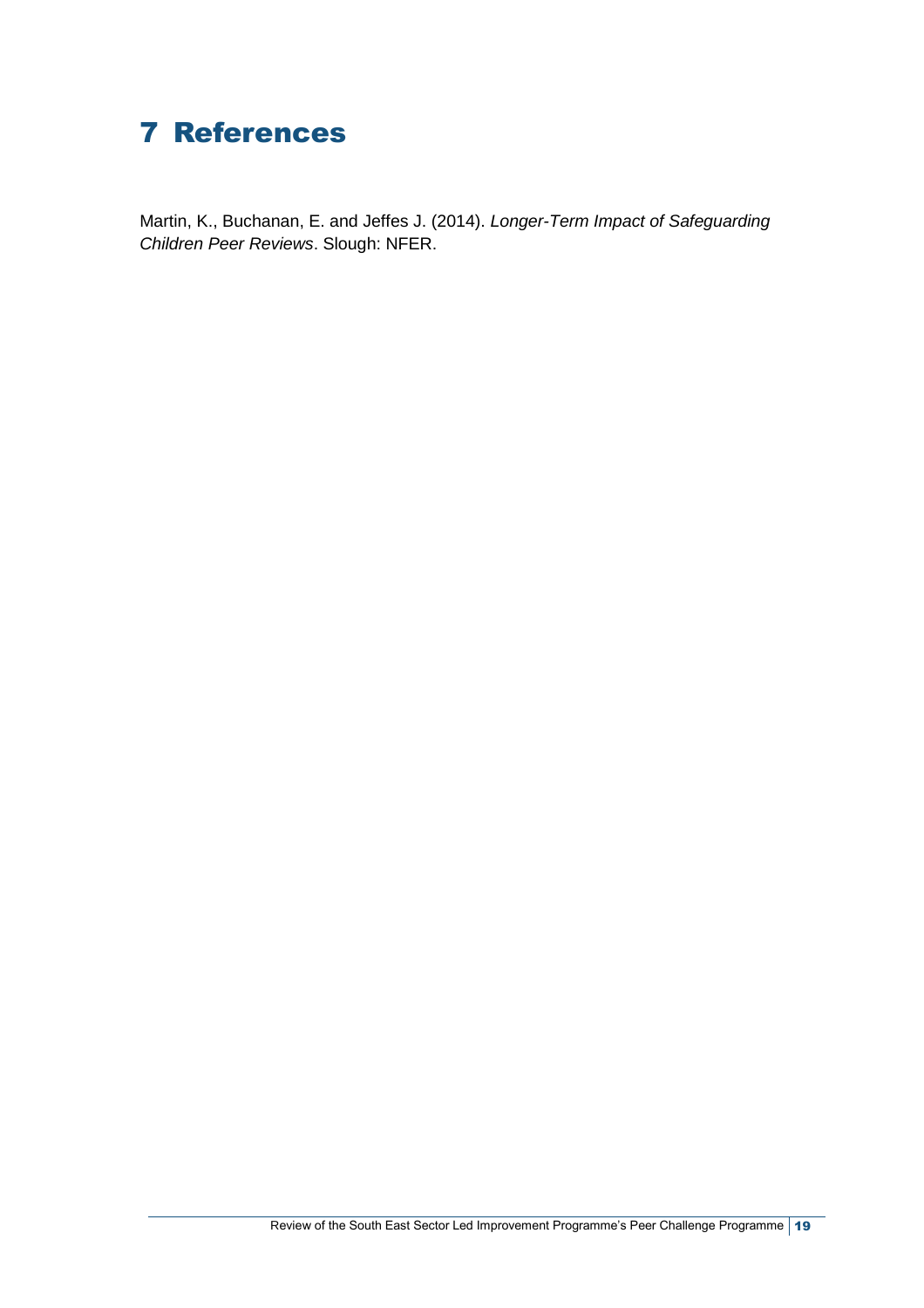## <span id="page-24-0"></span>7 References

Martin, K., Buchanan, E. and Jeffes J. (2014). *Longer-Term Impact of Safeguarding Children Peer Reviews*. Slough: NFER.